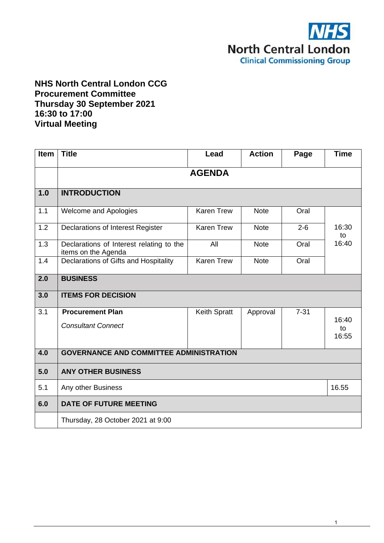

# **NHS North Central London CCG Procurement Committee Thursday 30 September 2021 16:30 to 17:00 Virtual Meeting**

| <b>Item</b> | <b>Title</b>                                                    | Lead              | <b>Action</b> | Page     | <b>Time</b>          |
|-------------|-----------------------------------------------------------------|-------------------|---------------|----------|----------------------|
|             |                                                                 | <b>AGENDA</b>     |               |          |                      |
| 1.0         | <b>INTRODUCTION</b>                                             |                   |               |          |                      |
| 1.1         | Welcome and Apologies                                           | <b>Karen Trew</b> | <b>Note</b>   | Oral     |                      |
| 1.2         | Declarations of Interest Register                               | <b>Karen Trew</b> | <b>Note</b>   | $2 - 6$  | 16:30<br>to          |
| 1.3         | Declarations of Interest relating to the<br>items on the Agenda | All               | <b>Note</b>   | Oral     | 16:40                |
| 1.4         | Declarations of Gifts and Hospitality                           | <b>Karen Trew</b> | <b>Note</b>   | Oral     |                      |
| 2.0         | <b>BUSINESS</b>                                                 |                   |               |          |                      |
| 3.0         | <b>ITEMS FOR DECISION</b>                                       |                   |               |          |                      |
| 3.1         | <b>Procurement Plan</b><br><b>Consultant Connect</b>            | Keith Spratt      | Approval      | $7 - 31$ | 16:40<br>to<br>16:55 |
| 4.0         | <b>GOVERNANCE AND COMMITTEE ADMINISTRATION</b>                  |                   |               |          |                      |
| 5.0         | <b>ANY OTHER BUSINESS</b>                                       |                   |               |          |                      |
| 5.1         | Any other Business                                              |                   |               |          | 16.55                |
| 6.0         | <b>DATE OF FUTURE MEETING</b>                                   |                   |               |          |                      |
|             | Thursday, 28 October 2021 at 9:00                               |                   |               |          |                      |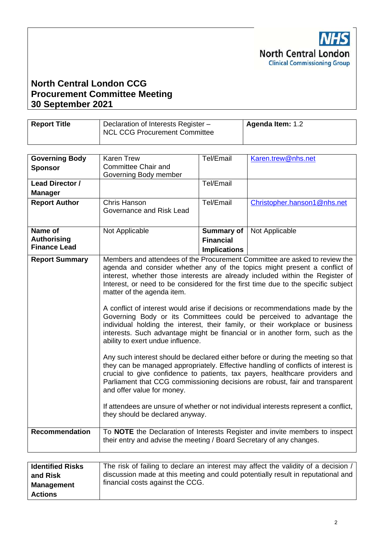

# **North Central London CCG Procurement Committee Meeting 30 September 2021**

| <b>Report Title</b> | Declaration of Interests Register -<br><b>NCL CCG Procurement Committee</b> | Agenda Item: 1.2 |
|---------------------|-----------------------------------------------------------------------------|------------------|
|                     |                                                                             |                  |

| <b>Governing Body</b><br><b>Sponsor</b>              | <b>Karen Trew</b><br><b>Committee Chair and</b><br>Governing Body member                                                         | Tel/Email                                                    | Karen.trew@nhs.net                                                                                                                                                                                                                                                                                                                                                                                                                                                                                                                                                                                                                                                                                                                                                                                                                                                                                                                                                                                                                                                                        |
|------------------------------------------------------|----------------------------------------------------------------------------------------------------------------------------------|--------------------------------------------------------------|-------------------------------------------------------------------------------------------------------------------------------------------------------------------------------------------------------------------------------------------------------------------------------------------------------------------------------------------------------------------------------------------------------------------------------------------------------------------------------------------------------------------------------------------------------------------------------------------------------------------------------------------------------------------------------------------------------------------------------------------------------------------------------------------------------------------------------------------------------------------------------------------------------------------------------------------------------------------------------------------------------------------------------------------------------------------------------------------|
| Lead Director /<br><b>Manager</b>                    |                                                                                                                                  | Tel/Email                                                    |                                                                                                                                                                                                                                                                                                                                                                                                                                                                                                                                                                                                                                                                                                                                                                                                                                                                                                                                                                                                                                                                                           |
| <b>Report Author</b>                                 | Chris Hanson<br>Governance and Risk Lead                                                                                         | Tel/Email                                                    | Christopher.hanson1@nhs.net                                                                                                                                                                                                                                                                                                                                                                                                                                                                                                                                                                                                                                                                                                                                                                                                                                                                                                                                                                                                                                                               |
| Name of<br><b>Authorising</b><br><b>Finance Lead</b> | Not Applicable                                                                                                                   | <b>Summary of</b><br><b>Financial</b><br><b>Implications</b> | Not Applicable                                                                                                                                                                                                                                                                                                                                                                                                                                                                                                                                                                                                                                                                                                                                                                                                                                                                                                                                                                                                                                                                            |
| <b>Report Summary</b>                                | matter of the agenda item.<br>ability to exert undue influence.<br>and offer value for money.<br>they should be declared anyway. |                                                              | Members and attendees of the Procurement Committee are asked to review the<br>agenda and consider whether any of the topics might present a conflict of<br>interest, whether those interests are already included within the Register of<br>Interest, or need to be considered for the first time due to the specific subject<br>A conflict of interest would arise if decisions or recommendations made by the<br>Governing Body or its Committees could be perceived to advantage the<br>individual holding the interest, their family, or their workplace or business<br>interests. Such advantage might be financial or in another form, such as the<br>Any such interest should be declared either before or during the meeting so that<br>they can be managed appropriately. Effective handling of conflicts of interest is<br>crucial to give confidence to patients, tax payers, healthcare providers and<br>Parliament that CCG commissioning decisions are robust, fair and transparent<br>If attendees are unsure of whether or not individual interests represent a conflict, |
| <b>Recommendation</b>                                | their entry and advise the meeting / Board Secretary of any changes.                                                             |                                                              | To NOTE the Declaration of Interests Register and invite members to inspect                                                                                                                                                                                                                                                                                                                                                                                                                                                                                                                                                                                                                                                                                                                                                                                                                                                                                                                                                                                                               |
|                                                      |                                                                                                                                  |                                                              |                                                                                                                                                                                                                                                                                                                                                                                                                                                                                                                                                                                                                                                                                                                                                                                                                                                                                                                                                                                                                                                                                           |

| <b>Identified Risks</b> | The risk of failing to declare an interest may affect the validity of a decision / |
|-------------------------|------------------------------------------------------------------------------------|
| and Risk                | discussion made at this meeting and could potentially result in reputational and   |
| <b>Management</b>       | financial costs against the CCG.                                                   |
| <b>Actions</b>          |                                                                                    |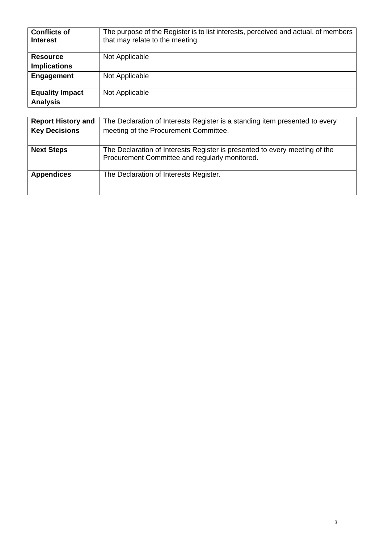| <b>Conflicts of</b><br><b>Interest</b>    | The purpose of the Register is to list interests, perceived and actual, of members<br>that may relate to the meeting. |
|-------------------------------------------|-----------------------------------------------------------------------------------------------------------------------|
| <b>Resource</b><br><b>Implications</b>    | Not Applicable                                                                                                        |
|                                           |                                                                                                                       |
| Engagement                                | Not Applicable                                                                                                        |
| <b>Equality Impact</b><br><b>Analysis</b> | Not Applicable                                                                                                        |

| <b>Report History and</b> | The Declaration of Interests Register is a standing item presented to every                                                  |
|---------------------------|------------------------------------------------------------------------------------------------------------------------------|
| <b>Key Decisions</b>      | meeting of the Procurement Committee.                                                                                        |
|                           |                                                                                                                              |
| <b>Next Steps</b>         | The Declaration of Interests Register is presented to every meeting of the<br>Procurement Committee and regularly monitored. |
| <b>Appendices</b>         | The Declaration of Interests Register.                                                                                       |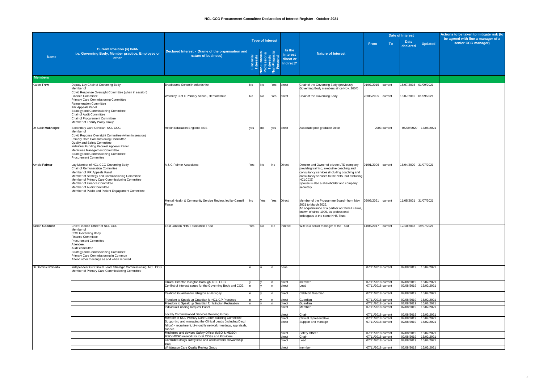|                      |                                                                                                                                                                                                                                                                                                                                                   |                                                                                                                                                                                       |                 |                                                      |                |                                                            |                                                                                                                                                                                                                                                                |                                          |              | <b>Date of Interest</b>                         |                                     | Actions to be taken to mitigate risk (to                  |
|----------------------|---------------------------------------------------------------------------------------------------------------------------------------------------------------------------------------------------------------------------------------------------------------------------------------------------------------------------------------------------|---------------------------------------------------------------------------------------------------------------------------------------------------------------------------------------|-----------------|------------------------------------------------------|----------------|------------------------------------------------------------|----------------------------------------------------------------------------------------------------------------------------------------------------------------------------------------------------------------------------------------------------------------|------------------------------------------|--------------|-------------------------------------------------|-------------------------------------|-----------------------------------------------------------|
|                      |                                                                                                                                                                                                                                                                                                                                                   |                                                                                                                                                                                       |                 | <b>Type of Interest</b>                              |                |                                                            |                                                                                                                                                                                                                                                                | <b>From</b>                              | <b>To</b>    | <b>Date</b><br>declared                         | <b>Updated</b>                      | be agreed with line a manager of a<br>senior CCG manager) |
| <b>Name</b>          | <b>Current Position (s) held-</b><br>i.e. Governing Body, Member practice, Employee or<br>other                                                                                                                                                                                                                                                   | Declared Interest - (Name of the organisation and<br>nature of business)                                                                                                              |                 | E Londre<br>Profilia<br>Portugal                     |                | <b>Is the</b><br><i>interest</i><br>direct or<br>Indirect? | <b>Nature of Interest</b>                                                                                                                                                                                                                                      |                                          |              |                                                 |                                     |                                                           |
| <b>Members</b>       |                                                                                                                                                                                                                                                                                                                                                   |                                                                                                                                                                                       |                 |                                                      |                |                                                            |                                                                                                                                                                                                                                                                |                                          |              |                                                 |                                     |                                                           |
| <b>Karen Trew</b>    | Deputy Lay Chair of Governing Body<br>Member of<br>Covid Response Oversight Committee (when in session)<br><b>Finance Committee</b>                                                                                                                                                                                                               | Broxbourne School Hertfordshire<br>Wormley C of E Primary School, Hertfordshire                                                                                                       | No<br><b>No</b> | $\overline{\mathsf{No}}$<br>$\overline{\mathsf{No}}$ | Yes<br>Yes     | direct<br>direct                                           | Chair of the Governing Body (previously<br>Governing Body members since Nov. 2004)<br>Chair of the Governing Body                                                                                                                                              | 01/07/2015 current<br>28/06/2005 current |              | 15/07/2015 01/09/2021<br>15/07/2015  01/09/2021 |                                     |                                                           |
|                      | <b>Primary Care Commissioning Committee</b><br>Remuneration Committee<br><b>IFR Appeals Panel</b><br><b>Strategy and Commissioning Committee</b><br><b>Chair of Audit Committee</b><br><b>Chair of Procurement Committee</b><br><b>Member of Fertility Policy Group</b>                                                                           |                                                                                                                                                                                       |                 |                                                      |                |                                                            |                                                                                                                                                                                                                                                                |                                          |              |                                                 |                                     |                                                           |
| Dr Subir Mukherjee   | Secondary Care Clinician, NCL CCG<br>Member of<br>Covid Reponse Oversight Committee (when in session)<br><b>Primary Care Commissioning Committee</b><br><b>Quality and Safety Committee</b><br>Individual Funding Request Appeals Panel<br>Medicines Management Committee<br>Strategy and Commissioning Committee<br><b>Procurement Committee</b> | Health Education England, KSS                                                                                                                                                         | <b>ves</b>      | no                                                   | yes            | direct                                                     | Associate post graduate Dean                                                                                                                                                                                                                                   |                                          | 2003 current | 05/09/2020                                      | 13/08/2021                          |                                                           |
| <b>Arnold Palmer</b> | Lay Member of NCL CCG Governing Body<br><b>Chair of Remuneration Committee</b><br>Member of IFR Appeals Panel<br>Member of Strategy and Commissioning Committee<br>Member of Primary Care Commissioning Committee<br>Member of Finance Committee<br>Member of Audit Committee<br>Member of Public and Patient Engagement Committee                | A & C Palmer Associates                                                                                                                                                               | Yes             | <b>No</b>                                            | <b>No</b>      | Direct                                                     | Director and Owner of private LTD company,<br>providing training, executive coaching and<br>consultancy services (including coaching and<br>consultancy services to the NHS but excluding<br>NCLCCG)<br>Spouse is also a shareholder and company<br>secretary. | 01/01/2006                               | current      | 16/04/2020 31/07/2021                           |                                     |                                                           |
|                      |                                                                                                                                                                                                                                                                                                                                                   | Mental Health & Community Service Review, led by Carnell<br>Farrar                                                                                                                    | N <sub>o</sub>  | Yes                                                  | Yes            | Direct                                                     | Member of the Programme Board - from May<br>2021 to March 2022.<br>An acquaintance of a partner at Carnell Farrar,<br>known of since 1995, as professional<br>colleagues at the same NHS Trust.                                                                | 05/05/2021                               | current      | 11/05/2021 31/07/2021                           |                                     |                                                           |
| Simon Goodwin        | Chief Finance Officer of NCL CCG<br>Member of<br><b>CCG Governing Body</b><br><b>Finance Committee</b><br><b>Procurement Committee</b><br>Attendee,<br>Audit committee<br>Strategy and Commissioning Committee<br>Primary Care Commissioning in Common<br>Attend other meetings as and when required.                                             | <b>East London NHS Foundation Trust</b>                                                                                                                                               | <b>Yes</b>      | <b>No</b>                                            | N <sub>O</sub> | Indirect                                                   | Wife is a senior manager at the Trust                                                                                                                                                                                                                          | 14/06/2017   current                     |              | 12/10/2018 19/07/2021                           |                                     |                                                           |
| Dr Dominic Roberts   | Independent GP Clinical Lead, Strategic Commissioning, NCL CCG<br>Member of Primary Care Commissioning Committee                                                                                                                                                                                                                                  |                                                                                                                                                                                       |                 |                                                      |                | none                                                       |                                                                                                                                                                                                                                                                | 07/11/2018 current                       |              | 02/08/2019                                      | 16/02/2021                          |                                                           |
|                      |                                                                                                                                                                                                                                                                                                                                                   | Clinical Director, Islington Borough, NCL CCG<br>Conflict of interest issues for the Governing Body and CCG.                                                                          |                 |                                                      |                | direct<br>direct                                           | member<br>Lead                                                                                                                                                                                                                                                 | 07/11/2018 current<br>07/11/2018 current |              | 02/08/2019<br>02/08/2019                        | 16/02/2021<br>16/02/2021            |                                                           |
|                      |                                                                                                                                                                                                                                                                                                                                                   | Caldicott Guardian for Islington & Haringey                                                                                                                                           |                 |                                                      |                | direct                                                     | <b>Caldicott Guardian</b>                                                                                                                                                                                                                                      | 07/11/2018 current                       |              | 02/08/2019                                      | 16/02/2021                          |                                                           |
|                      |                                                                                                                                                                                                                                                                                                                                                   | Freedom to Speak up Guardian for NCL GP Practices                                                                                                                                     |                 |                                                      |                | direct                                                     | Guardian                                                                                                                                                                                                                                                       | 07/11/2018 current                       |              | 02/08/2019                                      | 16/02/2021                          |                                                           |
|                      |                                                                                                                                                                                                                                                                                                                                                   | Freedom to Speak up Guardian for Islington Federation<br>Individual Funding Request Panel                                                                                             |                 |                                                      |                | direct<br>direct                                           | Guardian<br>Member                                                                                                                                                                                                                                             | 07/11/2018 current<br>07/11/2018 current |              | 02/08/2019<br>02/08/2019                        | 16/02/2021<br>16/02/2021            |                                                           |
|                      |                                                                                                                                                                                                                                                                                                                                                   | Locally Commissioned Services Working Group                                                                                                                                           |                 |                                                      |                | direct                                                     | Chair                                                                                                                                                                                                                                                          | 07/11/2018 current                       |              | 02/08/2019                                      | 16/02/2021                          |                                                           |
|                      |                                                                                                                                                                                                                                                                                                                                                   | Member of NCL Primary Care Commissioning Committee<br>Supporting and managing the Clinical Leads (including Darzi<br>[fellow] - recruitment, bi-monthly network meetings, appraisals, |                 |                                                      |                | direct<br>direct                                           | Clinical representative<br>Support and manage                                                                                                                                                                                                                  | 07/11/2018 current<br>07/11/2018 current |              | 02/08/2019                                      | 02/08/2019 16/02/2021<br>16/02/2021 |                                                           |
|                      |                                                                                                                                                                                                                                                                                                                                                   | finance.<br>Medicines and devices Safety Officer (MSO & MDSO)                                                                                                                         |                 |                                                      |                | direct                                                     | <b>Safety Officer</b>                                                                                                                                                                                                                                          | 07/11/2018 current                       |              | 02/08/2019                                      | 16/02/2021                          |                                                           |
|                      |                                                                                                                                                                                                                                                                                                                                                   | MSO/MDSO network for local CCGs and Providers<br>Controlled drugs safety lead and Antimicrobial stewardship                                                                           |                 |                                                      |                | direct<br>direct                                           | Chair<br>Lead                                                                                                                                                                                                                                                  | 07/11/2018 current<br>07/11/2018 current |              | 02/08/2019<br>02/08/2019                        | 16/02/2021<br>16/02/2021            |                                                           |
|                      |                                                                                                                                                                                                                                                                                                                                                   | <b>Whittington Care Quality Review Group</b>                                                                                                                                          |                 |                                                      |                | direct                                                     | member                                                                                                                                                                                                                                                         | 07/11/2018 current                       |              |                                                 | 02/08/2019   16/02/2021             |                                                           |

4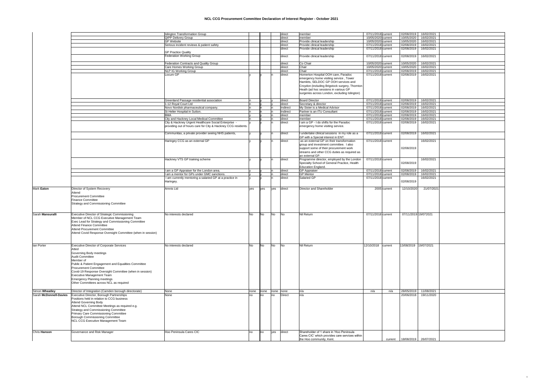# **NCL CCG Procurement Committee Declaration of Interest Register - October 2021**

|                        |                                                                 | <b>Islington Transformation Group</b>                         |             |           |                | direct          | member                                                                     | 07/11/2018 current | 02/08/2019           | 16/02/2021              |
|------------------------|-----------------------------------------------------------------|---------------------------------------------------------------|-------------|-----------|----------------|-----------------|----------------------------------------------------------------------------|--------------------|----------------------|-------------------------|
|                        |                                                                 | <b>QIPP Delivery Group</b>                                    |             |           |                | direct          | member                                                                     | 10/05/2020 current | 10/05/2020           | 16/02/2021              |
|                        |                                                                 | <b>GP Website</b>                                             |             |           |                | direct          | Provide clinical leadership                                                | 10/05/2020 current | 10/05/2020           | 16/02/2021              |
|                        |                                                                 | Serious incident reviews & patient safety                     |             |           |                | direct          | Provide clinical leadership                                                | 07/11/2018 current | 02/08/2019           | 16/02/2021              |
|                        |                                                                 |                                                               |             |           |                |                 |                                                                            |                    |                      |                         |
|                        |                                                                 |                                                               |             |           |                | direct          | Provide clinical leadership                                                | 07/11/2018 current | 02/08/2019           | 16/02/2021              |
|                        |                                                                 | <b>GP Practice Quality</b>                                    |             |           |                |                 |                                                                            |                    |                      |                         |
|                        |                                                                 | <b>Federation Working Group</b>                               |             |           |                | direct          | Provide clinical leadership                                                | 07/11/2018 current | 02/08/2019           | 16/02/2021              |
|                        |                                                                 |                                                               |             |           |                |                 |                                                                            |                    |                      |                         |
|                        |                                                                 | Federation Contracts and Quality Group                        |             |           |                | direct          | Co Chair                                                                   | 10/05/2020 current | 10/05/2020           | 16/02/2021              |
|                        |                                                                 | <b>Care Homes Working Group</b>                               |             |           |                | direct          | Chair                                                                      | 10/05/2020 current | 10/05/2020           | 16/02/2021              |
|                        |                                                                 | <b>NLP IG Working Group</b>                                   |             |           |                | direct          | Chair                                                                      | 07/11/2018 current | 02/08/2019           | 16/02/2021              |
|                        |                                                                 |                                                               |             |           |                |                 |                                                                            |                    |                      |                         |
|                        |                                                                 | Locum GP                                                      |             |           |                | direct          | Homerton Hospital OOH care, Paradoc                                        | 07/11/2018 current | 02/08/2019           | 16/02/2021              |
|                        |                                                                 |                                                               |             |           |                |                 | emergency home visiting service, Tower                                     |                    |                      |                         |
|                        |                                                                 |                                                               |             |           |                |                 | Hamlets, SELDOC GP OOH services and                                        |                    |                      |                         |
|                        |                                                                 |                                                               |             |           |                |                 | Croydon (including Brigstock surgery, Thornton                             |                    |                      |                         |
|                        |                                                                 |                                                               |             |           |                |                 | Heath (ad hoc sessions in various GP                                       |                    |                      |                         |
|                        |                                                                 |                                                               |             |           |                |                 | surgeries across London, excluding Islington)                              |                    |                      |                         |
|                        |                                                                 |                                                               |             |           |                |                 |                                                                            |                    |                      |                         |
|                        |                                                                 | Greenland Passage residential association                     |             |           |                | direct          | <b>Board Director</b>                                                      | 07/11/2018 current | 02/08/2019           | 16/02/2021              |
|                        |                                                                 |                                                               |             |           |                |                 |                                                                            |                    |                      |                         |
|                        |                                                                 | 1-12 Royal Court Ltd                                          |             |           |                | direct          | Secretary & director                                                       | 07/11/2018 current | 02/08/2019           | 16/02/2021              |
|                        |                                                                 | Novo Nordisk pharmaceutical company.                          |             |           |                | Indirect        | My Sister is a Medical Advisor                                             | 07/11/2018 current | 02/08/2019           | 16/02/2021              |
|                        |                                                                 | St Helier Hospital in Sutton.                                 |             |           |                | Indirect        | Partner is an ITU Consultant                                               | 07/11/2018 current | 02/08/2019           | 16/02/2021              |
|                        |                                                                 | <b>BMA</b>                                                    |             |           |                | direct          | Imember                                                                    | 07/11/2018 current | 02/08/2019           | 16/02/2021              |
|                        |                                                                 | <b>City and Hackney Local Medical Committee</b>               |             |           |                | direct          | member                                                                     | 07/11/2018 current | 02/08/2019           | 16/02/2021              |
|                        |                                                                 | City & Hackney Urgent Healthcare Social Enterprise            |             |           |                | direct          | I am a GP - I do shifts for the Paradoc                                    | 07/11/2018 current | 02/08/2019           | 16/02/2021              |
|                        |                                                                 |                                                               |             |           |                |                 |                                                                            |                    |                      |                         |
|                        |                                                                 | providing out of hours care for City & Hackney CCG residents. |             |           |                |                 | emergency home visiting service.                                           |                    |                      |                         |
|                        |                                                                 |                                                               |             |           |                |                 |                                                                            |                    |                      |                         |
|                        |                                                                 | Communitas, a private provider seeing NHS patients,           |             |           |                | direct          | I undertake clinical sessions in my role as a                              | 07/11/2018 current | 02/08/2019           | 16/02/2021              |
|                        |                                                                 |                                                               |             |           |                |                 | GP with a Special interest in ENT.                                         |                    |                      |                         |
|                        |                                                                 | Haringey CCG as an external GP                                |             |           |                | direct          | as an external GP on their transformation                                  | 07/11/2018 current |                      | 16/02/2021              |
|                        |                                                                 |                                                               |             |           |                |                 | group and investment committee. I also                                     |                    |                      |                         |
|                        |                                                                 |                                                               |             |           |                |                 |                                                                            |                    | 02/08/2019           |                         |
|                        |                                                                 |                                                               |             |           |                |                 | support some of their procurement work                                     |                    |                      |                         |
|                        |                                                                 |                                                               |             |           |                |                 | streams and other CCG duties as required as                                |                    |                      |                         |
|                        |                                                                 |                                                               |             |           |                |                 | lan external GP.                                                           |                    |                      |                         |
|                        |                                                                 | Hackney VTS GP training scheme                                |             |           |                | direct          | Programme director, employed by the London                                 | 07/11/2018 current |                      | 16/02/2021              |
|                        |                                                                 |                                                               |             |           |                |                 | Specialty School of General Practice, Health                               |                    | 02/08/2019           |                         |
|                        |                                                                 |                                                               |             |           |                |                 | <b>Education England.</b>                                                  |                    |                      |                         |
|                        |                                                                 | I am a GP Appraiser for the London area.                      |             |           |                | direct          | <b>GP Appraiser</b>                                                        | 07/11/2018 current | 02/08/2019           | 16/02/2021              |
|                        |                                                                 | I am a mentor for GPs under GMC sanctions.                    |             |           |                |                 | <b>GP Mentor</b>                                                           | 07/11/2018 current | 02/08/2019           | 16/02/2021              |
|                        |                                                                 |                                                               |             |           |                | direct          |                                                                            |                    |                      |                         |
|                        |                                                                 | I am currently mentoring a salaried GP at a practice in       |             |           |                | direct          | Salaried GP                                                                | 07/11/2018 current |                      | 16/02/2021              |
|                        |                                                                 | Haringey.                                                     |             |           |                |                 |                                                                            |                    | 02/08/2019           |                         |
|                        |                                                                 |                                                               |             |           |                |                 |                                                                            |                    |                      |                         |
| Mark Eaton             | Director of System Recovery                                     | Amnis Ltd                                                     | <b>Ives</b> | yes       | yes            | direct          | Director and Shareholder                                                   | 2005 current       | 12/10/2020           | 21/07/2021              |
|                        | Attend                                                          |                                                               |             |           |                |                 |                                                                            |                    |                      |                         |
|                        | <b>Procurement Committee</b>                                    |                                                               |             |           |                |                 |                                                                            |                    |                      |                         |
|                        |                                                                 |                                                               |             |           |                |                 |                                                                            |                    |                      |                         |
|                        | <b>Finance Committee</b>                                        |                                                               |             |           |                |                 |                                                                            |                    |                      |                         |
|                        | <b>Strategy and Commissioning Committee</b>                     |                                                               |             |           |                |                 |                                                                            |                    |                      |                         |
|                        |                                                                 |                                                               |             |           |                |                 |                                                                            |                    |                      |                         |
|                        |                                                                 |                                                               |             |           |                |                 |                                                                            |                    |                      |                         |
| Sarah Mansuralli       | <b>Executive Director of Strategic Commissioning</b>            | No interests declared                                         | lNo         | <b>No</b> | <b>No</b>      | IN <sub>o</sub> | Nil Return                                                                 | 07/11/2018 current | 07/11/2019 19/072021 |                         |
|                        |                                                                 |                                                               |             |           |                |                 |                                                                            |                    |                      |                         |
|                        |                                                                 |                                                               |             |           |                |                 |                                                                            |                    |                      |                         |
|                        | Member of NCL CCG Executive Management Team                     |                                                               |             |           |                |                 |                                                                            |                    |                      |                         |
|                        | Exec Lead for Strategy and Commissioning Committee              |                                                               |             |           |                |                 |                                                                            |                    |                      |                         |
|                        | <b>Attend Finance Committee</b>                                 |                                                               |             |           |                |                 |                                                                            |                    |                      |                         |
|                        | <b>Attend Procurement Committee</b>                             |                                                               |             |           |                |                 |                                                                            |                    |                      |                         |
|                        | Attend Covid Response Oversight Committee (when in session)     |                                                               |             |           |                |                 |                                                                            |                    |                      |                         |
|                        |                                                                 |                                                               |             |           |                |                 |                                                                            |                    |                      |                         |
|                        |                                                                 |                                                               |             |           |                |                 |                                                                            |                    |                      |                         |
|                        |                                                                 |                                                               |             |           |                |                 |                                                                            |                    |                      |                         |
| lan Porter             | <b>Executive Director of Corporate Services</b>                 | No interests declared                                         |             | <b>No</b> | N <sub>o</sub> | INo             | Nil Return                                                                 | 12/10/2018 current |                      |                         |
|                        | Atted                                                           |                                                               |             |           |                |                 |                                                                            |                    |                      |                         |
|                        |                                                                 |                                                               |             |           |                |                 |                                                                            |                    |                      |                         |
|                        | <b>Governing Body meetings</b>                                  |                                                               |             |           |                |                 |                                                                            |                    |                      |                         |
|                        | <b>Audit Committee</b>                                          |                                                               |             |           |                |                 |                                                                            |                    |                      |                         |
|                        | Member of                                                       |                                                               |             |           |                |                 |                                                                            |                    |                      |                         |
|                        | <b>Public &amp; Patient Engagement and Equalities Committee</b> |                                                               |             |           |                |                 |                                                                            |                    |                      |                         |
|                        | Procurement Committee                                           |                                                               |             |           |                |                 |                                                                            |                    |                      |                         |
|                        | Covid-19 Response Oversight Committee (when in session)         |                                                               |             |           |                |                 |                                                                            |                    |                      |                         |
|                        | <b>Executive Management Team</b>                                |                                                               |             |           |                |                 |                                                                            |                    |                      |                         |
|                        |                                                                 |                                                               |             |           |                |                 |                                                                            |                    |                      |                         |
|                        | <b>Emergency Planning meetings</b>                              |                                                               |             |           |                |                 |                                                                            |                    |                      |                         |
|                        | Other Committees across NCL as required                         |                                                               |             |           |                |                 |                                                                            |                    |                      |                         |
|                        |                                                                 |                                                               |             |           |                |                 |                                                                            |                    |                      |                         |
| Simon Wheatley         | Director of Integration (Camden borough directorate)            | None                                                          | none        | none      | none           | none            |                                                                            | n/a<br>n/a         | 28/05/2019           | 11/08/2021              |
| Sarah McDonnell-Davies | <b>Executive Director, Borough Partnerships</b>                 | None                                                          |             | no        | no             | Direct          |                                                                            |                    | 20/06/2018           | 19/11/2020              |
|                        | Positions held in relation to CCG business                      |                                                               |             |           |                |                 |                                                                            |                    |                      |                         |
|                        |                                                                 |                                                               |             |           |                |                 |                                                                            |                    |                      |                         |
|                        | <b>Attend Governing Body</b>                                    |                                                               |             |           |                |                 |                                                                            |                    |                      |                         |
|                        | Attend NCL Committee Meetings as required e.g.                  |                                                               |             |           |                |                 |                                                                            |                    |                      |                         |
|                        | <b>Strategy and Commissioning Committee</b>                     |                                                               |             |           |                |                 |                                                                            |                    |                      |                         |
|                        | <b>Primary Care Commissioning Committee</b>                     |                                                               |             |           |                |                 |                                                                            |                    |                      |                         |
|                        | <b>Borough Commissioning Committee</b>                          |                                                               |             |           |                |                 |                                                                            |                    |                      |                         |
|                        |                                                                 |                                                               |             |           |                |                 |                                                                            |                    |                      |                         |
|                        | <b>NCL CCG Executive Management Team</b>                        |                                                               |             |           |                |                 |                                                                            |                    |                      |                         |
|                        |                                                                 |                                                               |             |           |                |                 |                                                                            |                    |                      |                         |
|                        |                                                                 |                                                               |             |           |                |                 |                                                                            |                    |                      |                         |
| Chris Hanson           | <b>Governance and Risk Manager</b>                              | Hoo Peninsula Cares CIC                                       | Ino         | no        | yes            | direct          | Shareholder of 1 share in 'Hoo Peninsula                                   |                    |                      |                         |
|                        |                                                                 |                                                               |             |           |                |                 | Cares CIC' which provides care services within<br>the Hoo community, Kent. | current            |                      | 18/08/2019   26/07/2021 |

5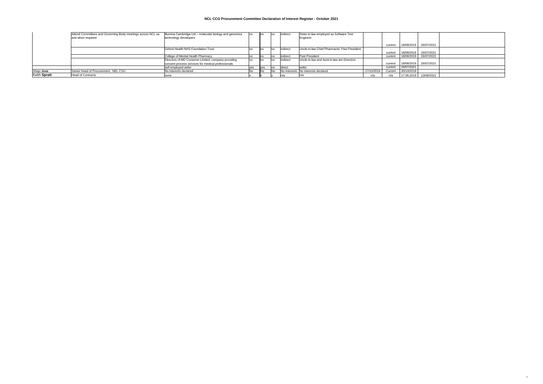# **NCL CCG Procurement Committee Declaration of Interest Register - October 2021**

|              | Attend Committees and Governing Body meetings across NCL as | Illumina Cambridge Ltd – molecular biology and genomics |              | lindirect      | Sister-in-law employed as Software Test      |            |         |            |                       |  |
|--------------|-------------------------------------------------------------|---------------------------------------------------------|--------------|----------------|----------------------------------------------|------------|---------|------------|-----------------------|--|
|              | and when required                                           | technology developers                                   |              |                | Engineer                                     |            |         |            |                       |  |
|              |                                                             |                                                         |              |                |                                              |            | curren  |            | 18/08/2019 26/07/2021 |  |
|              |                                                             | <b>Oxford Health NHS Foundation Trust</b>               |              | Indirect       | Uncle-in-law Chief Pharmacist Past President |            |         |            |                       |  |
|              |                                                             |                                                         |              |                |                                              |            | curren  |            | 18/08/2019 26/07/2021 |  |
|              |                                                             | College of Mental Health Pharmacy                       | $n_{\Omega}$ | lindirect      | <b>Past President</b>                        |            | current |            | 18/08/2019 26/07/2021 |  |
|              |                                                             | Directors of MD Consents Limited, company providing     | no           | lindirect      | Uncle-in-law and Aunt-in-law are Directors   |            |         |            |                       |  |
|              |                                                             | consent process services for medical professionals      |              |                |                                              |            | current |            | 18/08/2019 26/07/2021 |  |
|              |                                                             | self employed writer                                    | $\sim$       | <b>Idirect</b> | <b>Lwriter</b>                               |            | current | 26/07/2021 |                       |  |
| Shaju Jose   | Senior Head of Procurement, NEL CSU                         | No interests declared                                   |              |                | No Interests No interests declared           | 17/10/2018 | Current | 30/10/2018 |                       |  |
| Keith Spratt | <b>Head of Contracts</b>                                    | none                                                    |              |                |                                              | n/a        |         |            | 17.06.2019 13/08/2021 |  |

6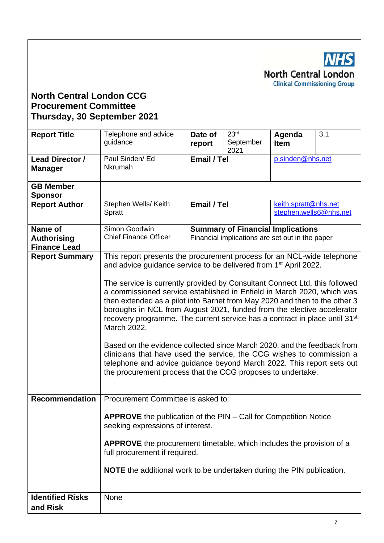**NHS North Central London Clinical Commissioning Group** 

# **North Central London CCG Procurement Committee Thursday, 30 September 2021**

| <b>Report Title</b>                                  | Telephone and advice<br>guidance                                                                                                                                                                                                                                                                                                                                                                                                                                                                                                                                                                                                                                                                                  | Date of<br>report                                                                                    | 23 <sup>rd</sup><br>September<br>2021                                                       | Agenda<br><b>Item</b> | 3.1 |  |  |  |
|------------------------------------------------------|-------------------------------------------------------------------------------------------------------------------------------------------------------------------------------------------------------------------------------------------------------------------------------------------------------------------------------------------------------------------------------------------------------------------------------------------------------------------------------------------------------------------------------------------------------------------------------------------------------------------------------------------------------------------------------------------------------------------|------------------------------------------------------------------------------------------------------|---------------------------------------------------------------------------------------------|-----------------------|-----|--|--|--|
| Lead Director /<br><b>Manager</b>                    | Paul Sinden/ Ed<br>Nkrumah                                                                                                                                                                                                                                                                                                                                                                                                                                                                                                                                                                                                                                                                                        | Email / Tel<br>p.sinden@nhs.net                                                                      |                                                                                             |                       |     |  |  |  |
| <b>GB Member</b><br><b>Sponsor</b>                   |                                                                                                                                                                                                                                                                                                                                                                                                                                                                                                                                                                                                                                                                                                                   |                                                                                                      |                                                                                             |                       |     |  |  |  |
| <b>Report Author</b>                                 | Stephen Wells/ Keith<br>Spratt                                                                                                                                                                                                                                                                                                                                                                                                                                                                                                                                                                                                                                                                                    | keith.spratt@nhs.net<br>Email / Tel<br>stephen.wells6@nhs.net                                        |                                                                                             |                       |     |  |  |  |
| Name of<br><b>Authorising</b><br><b>Finance Lead</b> | Simon Goodwin<br><b>Chief Finance Officer</b>                                                                                                                                                                                                                                                                                                                                                                                                                                                                                                                                                                                                                                                                     |                                                                                                      | <b>Summary of Financial Implications</b><br>Financial implications are set out in the paper |                       |     |  |  |  |
| <b>Report Summary</b>                                | This report presents the procurement process for an NCL-wide telephone<br>and advice guidance service to be delivered from 1 <sup>st</sup> April 2022.                                                                                                                                                                                                                                                                                                                                                                                                                                                                                                                                                            |                                                                                                      |                                                                                             |                       |     |  |  |  |
|                                                      | The service is currently provided by Consultant Connect Ltd, this followed<br>a commissioned service established in Enfield in March 2020, which was<br>then extended as a pilot into Barnet from May 2020 and then to the other 3<br>boroughs in NCL from August 2021, funded from the elective accelerator<br>recovery programme. The current service has a contract in place until 31 <sup>st</sup><br>March 2022.<br>Based on the evidence collected since March 2020, and the feedback from<br>clinicians that have used the service, the CCG wishes to commission a<br>telephone and advice guidance beyond March 2022. This report sets out<br>the procurement process that the CCG proposes to undertake. |                                                                                                      |                                                                                             |                       |     |  |  |  |
| <b>Recommendation</b>                                | Procurement Committee is asked to:                                                                                                                                                                                                                                                                                                                                                                                                                                                                                                                                                                                                                                                                                |                                                                                                      |                                                                                             |                       |     |  |  |  |
|                                                      |                                                                                                                                                                                                                                                                                                                                                                                                                                                                                                                                                                                                                                                                                                                   | APPROVE the publication of the PIN - Call for Competition Notice<br>seeking expressions of interest. |                                                                                             |                       |     |  |  |  |
|                                                      | <b>APPROVE</b> the procurement timetable, which includes the provision of a<br>full procurement if required.                                                                                                                                                                                                                                                                                                                                                                                                                                                                                                                                                                                                      |                                                                                                      |                                                                                             |                       |     |  |  |  |
|                                                      |                                                                                                                                                                                                                                                                                                                                                                                                                                                                                                                                                                                                                                                                                                                   | <b>NOTE</b> the additional work to be undertaken during the PIN publication.                         |                                                                                             |                       |     |  |  |  |
| <b>Identified Risks</b>                              | None                                                                                                                                                                                                                                                                                                                                                                                                                                                                                                                                                                                                                                                                                                              |                                                                                                      |                                                                                             |                       |     |  |  |  |
| and Risk                                             |                                                                                                                                                                                                                                                                                                                                                                                                                                                                                                                                                                                                                                                                                                                   |                                                                                                      |                                                                                             |                       |     |  |  |  |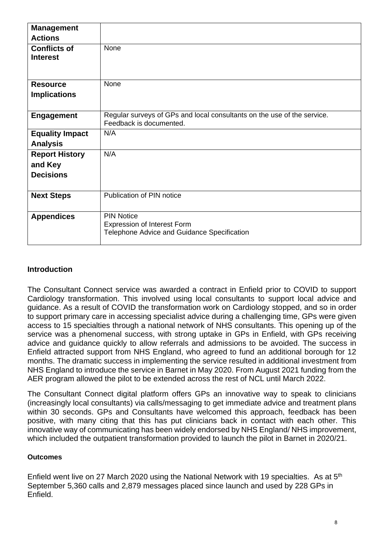| <b>Management</b><br><b>Actions</b>                  |                                                                                                    |
|------------------------------------------------------|----------------------------------------------------------------------------------------------------|
| <b>Conflicts of</b><br><b>Interest</b>               | None                                                                                               |
| <b>Resource</b><br><b>Implications</b>               | None                                                                                               |
| <b>Engagement</b>                                    | Regular surveys of GPs and local consultants on the use of the service.<br>Feedback is documented. |
| <b>Equality Impact</b><br><b>Analysis</b>            | N/A                                                                                                |
| <b>Report History</b><br>and Key<br><b>Decisions</b> | N/A                                                                                                |
| <b>Next Steps</b>                                    | Publication of PIN notice                                                                          |
| <b>Appendices</b>                                    | <b>PIN Notice</b><br>Expression of Interest Form<br>Telephone Advice and Guidance Specification    |

# **Introduction**

The Consultant Connect service was awarded a contract in Enfield prior to COVID to support Cardiology transformation. This involved using local consultants to support local advice and guidance. As a result of COVID the transformation work on Cardiology stopped, and so in order to support primary care in accessing specialist advice during a challenging time, GPs were given access to 15 specialties through a national network of NHS consultants. This opening up of the service was a phenomenal success, with strong uptake in GPs in Enfield, with GPs receiving advice and guidance quickly to allow referrals and admissions to be avoided. The success in Enfield attracted support from NHS England, who agreed to fund an additional borough for 12 months. The dramatic success in implementing the service resulted in additional investment from NHS England to introduce the service in Barnet in May 2020. From August 2021 funding from the AER program allowed the pilot to be extended across the rest of NCL until March 2022.

The Consultant Connect digital platform offers GPs an innovative way to speak to clinicians (increasingly local consultants) via calls/messaging to get immediate advice and treatment plans within 30 seconds. GPs and Consultants have welcomed this approach, feedback has been positive, with many citing that this has put clinicians back in contact with each other. This innovative way of communicating has been widely endorsed by NHS England/ NHS improvement, which included the outpatient transformation provided to launch the pilot in Barnet in 2020/21.

# **Outcomes**

Enfield went live on 27 March 2020 using the National Network with 19 specialties. As at 5th September 5,360 calls and 2,879 messages placed since launch and used by 228 GPs in Enfield.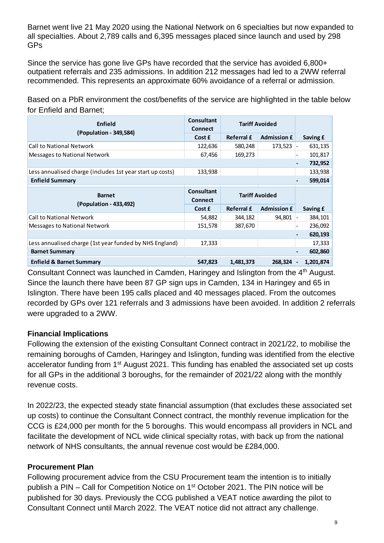Barnet went live 21 May 2020 using the National Network on 6 specialties but now expanded to all specialties. About 2,789 calls and 6,395 messages placed since launch and used by 298 GPs

Since the service has gone live GPs have recorded that the service has avoided 6,800+ outpatient referrals and 235 admissions. In addition 212 messages had led to a 2WW referral recommended. This represents an approximate 60% avoidance of a referral or admission.

Based on a PbR environment the cost/benefits of the service are highlighted in the table below for Enfield and Barnet;

| for Enfield and Barnet;                                   |                                     |                   |                       |          |
|-----------------------------------------------------------|-------------------------------------|-------------------|-----------------------|----------|
| <b>Enfield</b>                                            | <b>Consultant</b><br><b>Connect</b> |                   | <b>Tariff Avoided</b> |          |
| (Population - 349,584)                                    | Cost £                              | <b>Referral £</b> | <b>Admission £</b>    | Saving £ |
| <b>Call to National Network</b>                           | 122,636                             | 580,248           | 173,523               | 631,135  |
| Messages to National Network                              | 67,456                              | 169,273           |                       | 101,817  |
|                                                           |                                     |                   |                       | 732,952  |
| Less annualised charge (includes 1st year start up costs) | 133,938                             |                   |                       | 133,938  |
| <b>Enfield Summary</b>                                    |                                     |                   |                       | 599,014  |
|                                                           |                                     |                   |                       |          |
| <b>Barnet</b>                                             | <b>Consultant</b><br><b>Connect</b> |                   | <b>Tariff Avoided</b> |          |
| (Population - 433,492)                                    | Cost £                              | <b>Referral £</b> | <b>Admission £</b>    | Saving £ |
| <b>Call to National Network</b>                           | 54,882                              | 344,182           | 94,801                | 384,101  |
| Messages to National Network                              | 151,578                             | 387,670           |                       | 236,092  |
|                                                           |                                     |                   |                       | 620,193  |
| Less annualised charge (1st year funded by NHS England)   | 17,333                              |                   |                       | 17,333   |
| <b>Barnet Summary</b>                                     |                                     |                   |                       | 602,860  |

Consultant Connect was launched in Camden, Haringey and Islington from the 4<sup>th</sup> August. Since the launch there have been 87 GP sign ups in Camden, 134 in Haringey and 65 in Islington. There have been 195 calls placed and 40 messages placed. From the outcomes recorded by GPs over 121 referrals and 3 admissions have been avoided. In addition 2 referrals were upgraded to a 2WW.

# **Financial Implications**

Following the extension of the existing Consultant Connect contract in 2021/22, to mobilise the remaining boroughs of Camden, Haringey and Islington, funding was identified from the elective accelerator funding from 1<sup>st</sup> August 2021. This funding has enabled the associated set up costs for all GPs in the additional 3 boroughs, for the remainder of 2021/22 along with the monthly revenue costs.

In 2022/23, the expected steady state financial assumption (that excludes these associated set up costs) to continue the Consultant Connect contract, the monthly revenue implication for the CCG is £24,000 per month for the 5 boroughs. This would encompass all providers in NCL and facilitate the development of NCL wide clinical specialty rotas, with back up from the national network of NHS consultants, the annual revenue cost would be £284,000.

# **Procurement Plan**

Following procurement advice from the CSU Procurement team the intention is to initially publish a PIN – Call for Competition Notice on 1<sup>st</sup> October 2021. The PIN notice will be published for 30 days. Previously the CCG published a VEAT notice awarding the pilot to Consultant Connect until March 2022. The VEAT notice did not attract any challenge.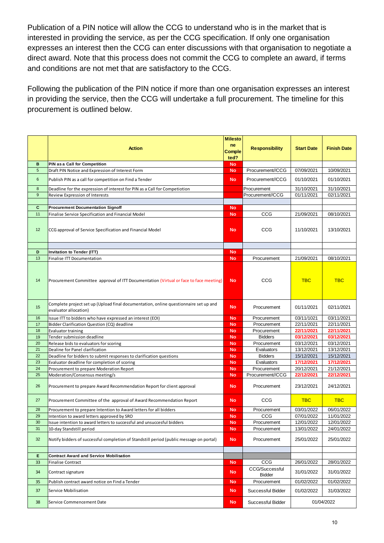Publication of a PIN notice will allow the CCG to understand who is in the market that is interested in providing the service, as per the CCG specification. If only one organisation expresses an interest then the CCG can enter discussions with that organisation to negotiate a direct award. Note that this process does not commit the CCG to complete an award, if terms and conditions are not met that are satisfactory to the CCG.

Following the publication of the PIN notice if more than one organisation expresses an interest in providing the service, then the CCG will undertake a full procurement. The timeline for this procurement is outlined below.

|                    | <b>Action</b>                                                                                                       | <b>Milesto</b><br>ne<br>Comple<br>ted? | <b>Responsibility</b>                  | <b>Start Date</b>        | <b>Finish Date</b>       |
|--------------------|---------------------------------------------------------------------------------------------------------------------|----------------------------------------|----------------------------------------|--------------------------|--------------------------|
| B                  | PIN as a Call for Competition                                                                                       | <b>No</b>                              |                                        |                          |                          |
| 5                  | Draft PIN Notice and Expression of Interest Form                                                                    | No                                     | Procurement//CCG                       | 07/09/2021               | 10/09/2021               |
| 6                  | Publish PIN as a call for competition on Find a Tender                                                              | <b>No</b>                              | Procurement//CCG                       | 01/10/2021               | 01/10/2021               |
| 8                  | Deadline for the expression of interest for PIN as a Call for Competiotion                                          |                                        | Procurement                            | 31/10/2021               | 31/10/2021               |
| 9                  | Review Expression of Interests                                                                                      |                                        | Procurement//CCG                       | 01/11/2021               | 02/11/2021               |
|                    |                                                                                                                     |                                        |                                        |                          |                          |
| $\mathbf{C}$<br>11 | <b>Procurement Documentation Signoff</b>                                                                            | <b>No</b>                              | CCG                                    | 21/09/2021               |                          |
|                    | Finalise Service Specification and Financial Model                                                                  | No                                     |                                        |                          | 08/10/2021               |
| 12                 | CCG approval of Service Specification and Financial Model                                                           | <b>No</b>                              | CCG                                    | 11/10/2021               | 13/10/2021               |
| D                  | <b>Invitation to Tender (ITT)</b>                                                                                   | No                                     |                                        |                          |                          |
| 13                 | <b>Finalise ITT Documentation</b>                                                                                   | <b>No</b>                              | Procurement                            | 21/09/2021               | 08/10/2021               |
| 14                 | Procurement Committee approval of ITT Documentation (Virtual or face to face meeting)                               | <b>No</b>                              | CCG                                    | <b>TBC</b>               | <b>TBC</b>               |
| 15                 | Complete project set up (Upload final documentation, online questionnaire set up and<br>evaluator allocation)       | <b>No</b>                              | Procurement                            | 01/11/2021               | 02/11/2021               |
| 16                 | Issue ITT to bidders who have expressed an interest (EOI)                                                           | <b>No</b>                              | Procurement                            | 03/11/1021               | 03/11/2021               |
| 17                 | Bidder Clarification Question (CQ) deadline                                                                         | <b>No</b>                              | Procurement                            | 22/11/2021               | 22/11/2021               |
| 18                 | Evaluator training                                                                                                  | <b>No</b>                              | Procurement                            | 22/11/2021               | 22/11/2021               |
| 19                 | Tender submission deadline                                                                                          | No                                     | <b>Bidders</b>                         | 03/12/2021               | 03/12/2021               |
| 20                 | Release bids to evaluators for scoring                                                                              | No                                     | Procurement                            | 03/12/2021               | 03/12/2021               |
| 21<br>22           | Dealine for Panel clarification                                                                                     | No<br><b>No</b>                        | Evaluators<br><b>Bidders</b>           | 13/12/2021<br>15/12/2021 | 13/12/2021<br>15/12/2021 |
| 23                 | Deadline for bidders to submit responses to clarification questions<br>Evaluator deadline for completion of scoring | No                                     | Evaluators                             | 17/12/2021               | 17/12/2021               |
| 24                 | Procurement to prepare Moderation Report                                                                            | No                                     | Procurement                            | 20/12/2021               | 21/12/2021               |
| 25                 | Moderation/Consensus meeting/s                                                                                      | No                                     | Procurement//CCG                       | 22/12/2021               | 22/12/2021               |
| 26                 | Procurement to prepare Award Recommendation Report for client approval                                              | <b>No</b>                              | Procurement                            | 23/12/2021               | 24/12/2021               |
| 27                 | Procurement Committee of the approval of Award Recommendation Report                                                | <b>No</b>                              | CCG                                    | <b>TBC</b>               | <b>TBC</b>               |
| 28                 | Procurement to prepare Intention to Award letters for all bidders                                                   | No                                     | Procurement                            | 03/01/2022               | 06/01/2022               |
| 29                 | Intention to award letters approved by SRO                                                                          | <b>No</b>                              | CCG                                    | 07/01/2022               | 11/01/2022               |
| $30\,$<br>31       | Issue intention to award letters to successful and unsuccesful bidders<br>10-day Standstill period                  | <b>No</b><br>No                        | Procurement<br>Procurement             | 12/01/2022<br>13/01/2022 | 12/01/2022<br>24/01/2022 |
| 32                 | Notify bidders of successful completion of Standstill period (public message on portal)                             | No                                     | Procurement                            | 25/01/2022               | 25/01/2022               |
| Е                  | <b>Contract Award and Service Mobilisation</b>                                                                      |                                        |                                        |                          |                          |
| 33                 | Finalise Contract                                                                                                   | <b>No</b>                              | CCG                                    | 26/01/2022               | 28/01/2022               |
| 34                 | Contract signature                                                                                                  | <b>No</b>                              | <b>CCG/Successful</b><br><b>Bidder</b> | 31/01/2022               | 31/01/2022               |
| 35                 | Publish contract award notice on Find a Tender                                                                      | <b>No</b>                              | Procurement                            | 01/02/2022               | 01/02/2022               |
| 37                 | Service Mobilisation                                                                                                | <b>No</b>                              | Successful Bidder                      | 01/02/2022               | 31/03/2022               |
| 38                 | Service Commencement Date                                                                                           | <b>No</b>                              | Successful Bidder                      |                          | 01/04/2022               |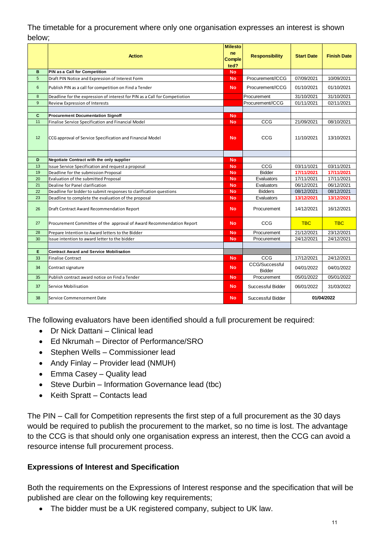# The timetable for a procurement where only one organisation expresses an interest is shown below;

|          |                                                                            | <b>Milesto</b><br>ne   |                                 |                          |                          |
|----------|----------------------------------------------------------------------------|------------------------|---------------------------------|--------------------------|--------------------------|
|          | <b>Action</b>                                                              | Comple<br>ted?         | <b>Responsibility</b>           | <b>Start Date</b>        | <b>Finish Date</b>       |
| B        | PIN as a Call for Competition                                              | <b>No</b>              |                                 |                          |                          |
| 5        | Draft PIN Notice and Expression of Interest Form                           | <b>No</b>              | Procurement//CCG                | 07/09/2021               | 10/09/2021               |
| 6        | Publish PIN as a call for competition on Find a Tender                     | <b>No</b>              | Procurement//CCG                | 01/10/2021               | 01/10/2021               |
| 8        | Deadline for the expression of interest for PIN as a Call for Competiotion |                        | Procurement                     | 31/10/2021               | 31/10/2021               |
| 9        | Review Expression of Interests                                             |                        | Procurement//CCG                | 01/11/2021               | 02/11/2021               |
|          |                                                                            |                        |                                 |                          |                          |
| C        | <b>Procurement Documentation Signoff</b>                                   | <b>No</b>              |                                 |                          |                          |
| 11       | Finalise Service Specification and Financial Model                         | <b>No</b>              | CCG                             | 21/09/2021               | 08/10/2021               |
| 12       | CCG approval of Service Specification and Financial Model                  | <b>No</b>              | CCG                             | 11/10/2021               | 13/10/2021               |
|          |                                                                            |                        |                                 |                          |                          |
| D<br>13  | Negotiate Contract with the only supplier                                  | <b>No</b>              |                                 |                          |                          |
|          | Issue Service Specification and request a proposal                         | <b>No</b>              | CCG<br><b>Bidder</b>            | 03/11/1021<br>17/11/2021 | 03/11/2021<br>17/11/2021 |
| 19<br>20 | Deadline for the submission Proposal                                       | <b>No</b><br><b>No</b> | Evaluators                      | 17/11/2021               | 17/11/2021               |
| 21       | Evaluation of the submitted Proposal<br>Dealine for Panel clarification    | <b>No</b>              | Evaluators                      | 06/12/2021               | 06/12/2021               |
| 22       | Deadline for bidder to submit responses to clarification questions         | <b>No</b>              | <b>Bidders</b>                  | 08/12/2021               | 08/12/2021               |
| 23       | Deadline to complete the evaluation of the proposal                        | <b>No</b>              | Evaluators                      | 13/12/2021               | 13/12/2021               |
| 26       | Draft Contract Award Recommendation Report                                 | <b>No</b>              | Procurement                     | 14/12/2021               | 16/12/2021               |
| 27       | Procurement Committee of the approval of Award Recommendation Report       | <b>No</b>              | CCG                             | <b>TBC</b>               | <b>TBC</b>               |
| 28       | Prepare Intention to Award letters to the Bidder                           | <b>No</b>              | Procurement                     | 21/12/2021               | 23/12/2021               |
| 30       | Issue intention to award letter to the bidder                              | <b>No</b>              | Procurement                     | 24/12/2021               | 24/12/2021               |
|          |                                                                            |                        |                                 |                          |                          |
| Е        | <b>Contract Award and Service Mobilisation</b>                             |                        |                                 |                          |                          |
| 33       | <b>Finalise Contract</b>                                                   | <b>No</b>              | CCG                             | 17/12/2021               | 24/12/2021               |
| 34       | Contract signature                                                         | <b>No</b>              | CCG/Successful<br><b>Bidder</b> | 04/01/2022               | 04/01/2022               |
| 35       | Publish contract award notice on Find a Tender                             | <b>No</b>              | Procurement                     | 05/01/2022               | 05/01/2022               |
| 37       | Service Mobilisation                                                       | <b>No</b>              | Successful Bidder               | 06/01/2022               | 31/03/2022               |
| 38       | Service Commencement Date                                                  | <b>No</b>              | Successful Bidder               |                          | 01/04/2022               |

The following evaluators have been identified should a full procurement be required:

- Dr Nick Dattani Clinical lead
- Ed Nkrumah Director of Performance/SRO
- Stephen Wells Commissioner lead
- Andy Finlay Provider lead (NMUH)
- Emma Casey Quality lead
- Steve Durbin Information Governance lead (tbc)
- Keith Spratt Contacts lead

The PIN – Call for Competition represents the first step of a full procurement as the 30 days would be required to publish the procurement to the market, so no time is lost. The advantage to the CCG is that should only one organisation express an interest, then the CCG can avoid a resource intense full procurement process.

# **Expressions of Interest and Specification**

Both the requirements on the Expressions of Interest response and the specification that will be published are clear on the following key requirements;

• The bidder must be a UK registered company, subject to UK law.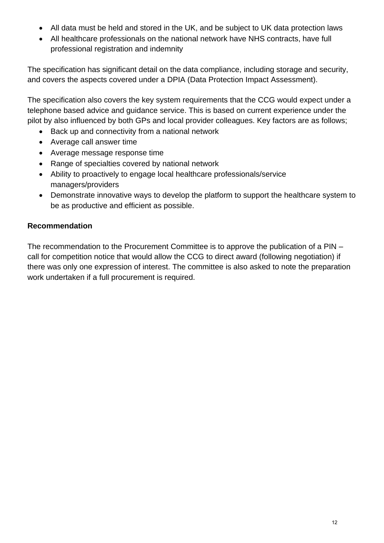- All data must be held and stored in the UK, and be subject to UK data protection laws
- All healthcare professionals on the national network have NHS contracts, have full professional registration and indemnity

The specification has significant detail on the data compliance, including storage and security, and covers the aspects covered under a DPIA (Data Protection Impact Assessment).

The specification also covers the key system requirements that the CCG would expect under a telephone based advice and guidance service. This is based on current experience under the pilot by also influenced by both GPs and local provider colleagues. Key factors are as follows;

- Back up and connectivity from a national network
- Average call answer time
- Average message response time
- Range of specialties covered by national network
- Ability to proactively to engage local healthcare professionals/service managers/providers
- Demonstrate innovative ways to develop the platform to support the healthcare system to be as productive and efficient as possible.

# **Recommendation**

The recommendation to the Procurement Committee is to approve the publication of a PIN – call for competition notice that would allow the CCG to direct award (following negotiation) if there was only one expression of interest. The committee is also asked to note the preparation work undertaken if a full procurement is required.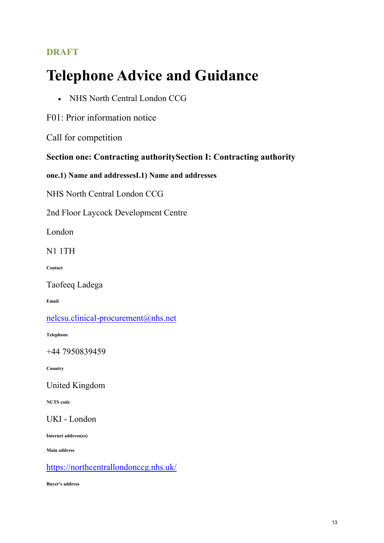# **DRAFT**

# **Telephone Advice and Guidance**

• NHS North Central London CCG

F01: Prior information notice

Call for competition

**Section one: Contracting authoritySection I: Contracting authority**

**one.1) Name and addressesI.1) Name and addresses**

NHS North Central London CCG

2nd Floor Laycock Development Centre

London

N1 1TH

**Contact**

Taofeeq Ladega

**Email**

[nelcsu.clinical-procurement@nhs.net](mailto:nelcsu.clinical-procurement@nhs.net)

**Telephone**

+44 7950839459

**Country**

United Kingdom

**NUTS code**

UKI - London

**Internet address(es)**

**Main address**

<https://northcentrallondonccg.nhs.uk/>

**Buyer's address**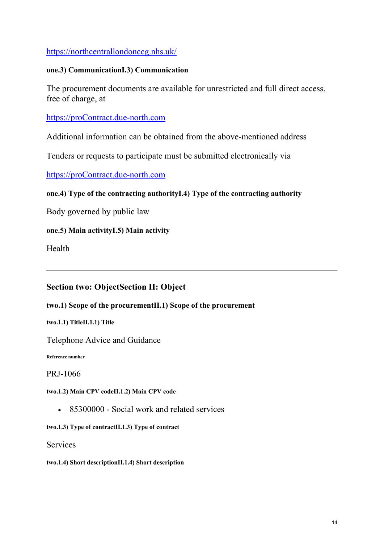# <https://northcentrallondonccg.nhs.uk/>

# **one.3) CommunicationI.3) Communication**

The procurement documents are available for unrestricted and full direct access, free of charge, at

# [https://proContract.due-north.com](https://procontract.due-north.com/)

Additional information can be obtained from the above-mentioned address

Tenders or requests to participate must be submitted electronically via

[https://proContract.due-north.com](https://procontract.due-north.com/)

# **one.4) Type of the contracting authorityI.4) Type of the contracting authority**

Body governed by public law

# **one.5) Main activityI.5) Main activity**

Health

# **Section two: ObjectSection II: Object**

# **two.1) Scope of the procurementII.1) Scope of the procurement**

**two.1.1) TitleII.1.1) Title**

Telephone Advice and Guidance

**Reference number**

PRJ-1066

## **two.1.2) Main CPV codeII.1.2) Main CPV code**

• 85300000 - Social work and related services

## **two.1.3) Type of contractII.1.3) Type of contract**

**Services** 

**two.1.4) Short descriptionII.1.4) Short description**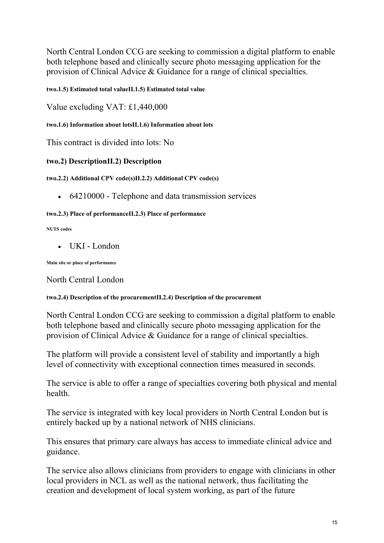North Central London CCG are seeking to commission a digital platform to enable both telephone based and clinically secure photo messaging application for the provision of Clinical Advice & Guidance for a range of clinical specialties.

**two.1.5) Estimated total valueII.1.5) Estimated total value**

Value excluding VAT: £1,440,000

**two.1.6) Information about lotsII.1.6) Information about lots**

This contract is divided into lots: No

# **two.2) DescriptionII.2) Description**

**two.2.2) Additional CPV code(s)II.2.2) Additional CPV code(s)**

• 64210000 - Telephone and data transmission services

## **two.2.3) Place of performanceII.2.3) Place of performance**

#### **NUTS codes**

• UKI - London

**Main site or place of performance**

North Central London

# **two.2.4) Description of the procurementII.2.4) Description of the procurement**

North Central London CCG are seeking to commission a digital platform to enable both telephone based and clinically secure photo messaging application for the provision of Clinical Advice & Guidance for a range of clinical specialties.

The platform will provide a consistent level of stability and importantly a high level of connectivity with exceptional connection times measured in seconds.

The service is able to offer a range of specialties covering both physical and mental health.

The service is integrated with key local providers in North Central London but is entirely backed up by a national network of NHS clinicians.

This ensures that primary care always has access to immediate clinical advice and guidance.

The service also allows clinicians from providers to engage with clinicians in other local providers in NCL as well as the national network, thus facilitating the creation and development of local system working, as part of the future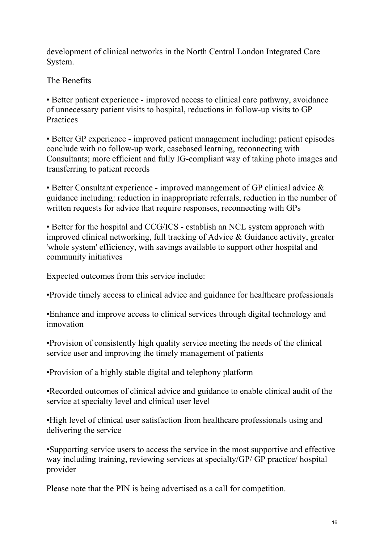development of clinical networks in the North Central London Integrated Care System.

The Benefits

• Better patient experience - improved access to clinical care pathway, avoidance of unnecessary patient visits to hospital, reductions in follow-up visits to GP **Practices** 

• Better GP experience - improved patient management including: patient episodes conclude with no follow-up work, casebased learning, reconnecting with Consultants; more efficient and fully IG-compliant way of taking photo images and transferring to patient records

• Better Consultant experience - improved management of GP clinical advice & guidance including: reduction in inappropriate referrals, reduction in the number of written requests for advice that require responses, reconnecting with GPs

• Better for the hospital and CCG/ICS - establish an NCL system approach with improved clinical networking, full tracking of Advice & Guidance activity, greater 'whole system' efficiency, with savings available to support other hospital and community initiatives

Expected outcomes from this service include:

•Provide timely access to clinical advice and guidance for healthcare professionals

•Enhance and improve access to clinical services through digital technology and innovation

•Provision of consistently high quality service meeting the needs of the clinical service user and improving the timely management of patients

•Provision of a highly stable digital and telephony platform

•Recorded outcomes of clinical advice and guidance to enable clinical audit of the service at specialty level and clinical user level

•High level of clinical user satisfaction from healthcare professionals using and delivering the service

•Supporting service users to access the service in the most supportive and effective way including training, reviewing services at specialty/GP/ GP practice/ hospital provider

Please note that the PIN is being advertised as a call for competition.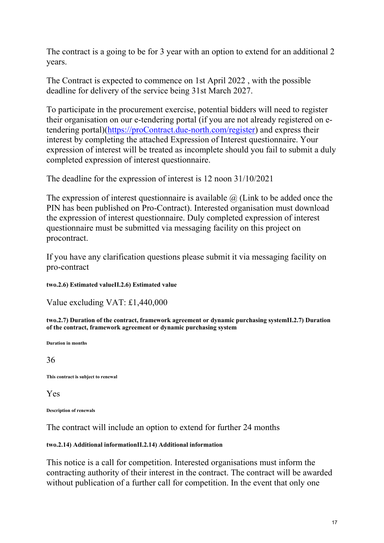The contract is a going to be for 3 year with an option to extend for an additional 2 years.

The Contract is expected to commence on 1st April 2022 , with the possible deadline for delivery of the service being 31st March 2027.

To participate in the procurement exercise, potential bidders will need to register their organisation on our e-tendering portal (if you are not already registered on etendering portal)[\(https://proContract.due-north.com/register\)](https://procontract.due-north.com/register) and express their interest by completing the attached Expression of Interest questionnaire. Your expression of interest will be treated as incomplete should you fail to submit a duly completed expression of interest questionnaire.

The deadline for the expression of interest is 12 noon 31/10/2021

The expression of interest questionnaire is available  $\omega$  (Link to be added once the PIN has been published on Pro-Contract). Interested organisation must download the expression of interest questionnaire. Duly completed expression of interest questionnaire must be submitted via messaging facility on this project on procontract.

If you have any clarification questions please submit it via messaging facility on pro-contract

**two.2.6) Estimated valueII.2.6) Estimated value**

Value excluding VAT: £1,440,000

**two.2.7) Duration of the contract, framework agreement or dynamic purchasing systemII.2.7) Duration of the contract, framework agreement or dynamic purchasing system**

**Duration in months**

36

**This contract is subject to renewal**

Yes

**Description of renewals**

The contract will include an option to extend for further 24 months

# **two.2.14) Additional informationII.2.14) Additional information**

This notice is a call for competition. Interested organisations must inform the contracting authority of their interest in the contract. The contract will be awarded without publication of a further call for competition. In the event that only one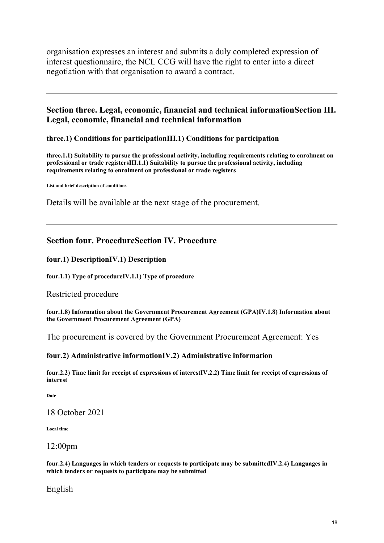organisation expresses an interest and submits a duly completed expression of interest questionnaire, the NCL CCG will have the right to enter into a direct negotiation with that organisation to award a contract.

# **Section three. Legal, economic, financial and technical informationSection III. Legal, economic, financial and technical information**

## **three.1) Conditions for participationIII.1) Conditions for participation**

**three.1.1) Suitability to pursue the professional activity, including requirements relating to enrolment on professional or trade registersIII.1.1) Suitability to pursue the professional activity, including requirements relating to enrolment on professional or trade registers**

**List and brief description of conditions**

Details will be available at the next stage of the procurement.

# **Section four. ProcedureSection IV. Procedure**

## **four.1) DescriptionIV.1) Description**

**four.1.1) Type of procedureIV.1.1) Type of procedure**

## Restricted procedure

**four.1.8) Information about the Government Procurement Agreement (GPA)IV.1.8) Information about the Government Procurement Agreement (GPA)**

The procurement is covered by the Government Procurement Agreement: Yes

## **four.2) Administrative informationIV.2) Administrative information**

**four.2.2) Time limit for receipt of expressions of interestIV.2.2) Time limit for receipt of expressions of interest**

**Date**

18 October 2021

**Local time**

## 12:00pm

**four.2.4) Languages in which tenders or requests to participate may be submittedIV.2.4) Languages in which tenders or requests to participate may be submitted**

English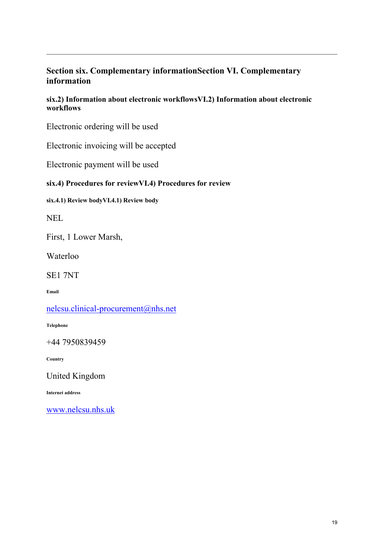# **Section six. Complementary informationSection VI. Complementary information**

**six.2) Information about electronic workflowsVI.2) Information about electronic workflows**

Electronic ordering will be used

Electronic invoicing will be accepted

Electronic payment will be used

# **six.4) Procedures for reviewVI.4) Procedures for review**

**six.4.1) Review bodyVI.4.1) Review body**

NEL

First, 1 Lower Marsh,

Waterloo

SE1 7NT

**Email**

[nelcsu.clinical-procurement@nhs.net](mailto:nelcsu.clinical-procurement@nhs.net)

**Telephone**

+44 7950839459

**Country**

United Kingdom

**Internet address**

[www.nelcsu.nhs.uk](http://www.nelcsu.nhs.uk/)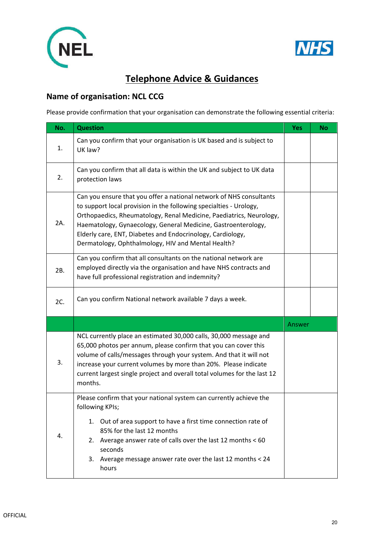



# **Telephone Advice & Guidances**

# **Name of organisation: NCL CCG**

Please provide confirmation that your organisation can demonstrate the following essential criteria:

| No. | <b>Question</b>                                                                                                                                                                                                                                                                                                                                                                                       | <b>Yes</b> | <b>No</b> |
|-----|-------------------------------------------------------------------------------------------------------------------------------------------------------------------------------------------------------------------------------------------------------------------------------------------------------------------------------------------------------------------------------------------------------|------------|-----------|
| 1.  | Can you confirm that your organisation is UK based and is subject to<br>UK law?                                                                                                                                                                                                                                                                                                                       |            |           |
| 2.  | Can you confirm that all data is within the UK and subject to UK data<br>protection laws                                                                                                                                                                                                                                                                                                              |            |           |
| 2A. | Can you ensure that you offer a national network of NHS consultants<br>to support local provision in the following specialties - Urology,<br>Orthopaedics, Rheumatology, Renal Medicine, Paediatrics, Neurology,<br>Haematology, Gynaecology, General Medicine, Gastroenterology,<br>Elderly care, ENT, Diabetes and Endocrinology, Cardiology,<br>Dermatology, Ophthalmology, HIV and Mental Health? |            |           |
| 2B. | Can you confirm that all consultants on the national network are<br>employed directly via the organisation and have NHS contracts and<br>have full professional registration and indemnity?                                                                                                                                                                                                           |            |           |
| 2C. | Can you confirm National network available 7 days a week.                                                                                                                                                                                                                                                                                                                                             |            |           |
|     |                                                                                                                                                                                                                                                                                                                                                                                                       | Answer     |           |
| 3.  | NCL currently place an estimated 30,000 calls, 30,000 message and<br>65,000 photos per annum, please confirm that you can cover this<br>volume of calls/messages through your system. And that it will not<br>increase your current volumes by more than 20%. Please indicate<br>current largest single project and overall total volumes for the last 12<br>months.                                  |            |           |
| 4.  | Please confirm that your national system can currently achieve the<br>following KPIs;<br>1. Out of area support to have a first time connection rate of<br>85% for the last 12 months<br>Average answer rate of calls over the last 12 months < 60<br>2.<br>seconds<br>3. Average message answer rate over the last 12 months < 24<br>hours                                                           |            |           |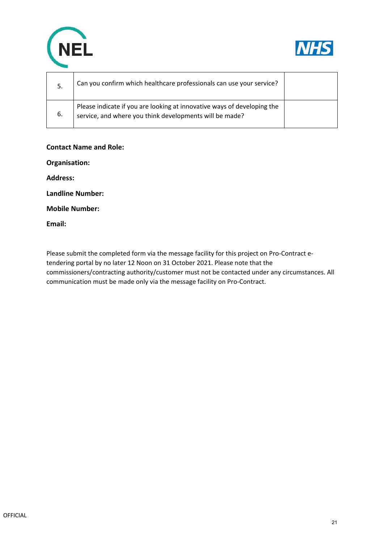



| -5. | Can you confirm which healthcare professionals can use your service?                                                               |  |
|-----|------------------------------------------------------------------------------------------------------------------------------------|--|
| 6.  | Please indicate if you are looking at innovative ways of developing the<br>service, and where you think developments will be made? |  |

## **Contact Name and Role:**

**Organisation:**

**Address:** 

**Landline Number:** 

**Mobile Number:** 

**Email:** 

Please submit the completed form via the message facility for this project on Pro-Contract etendering portal by no later 12 Noon on 31 October 2021. Please note that the commissioners/contracting authority/customer must not be contacted under any circumstances. All communication must be made only via the message facility on Pro-Contract.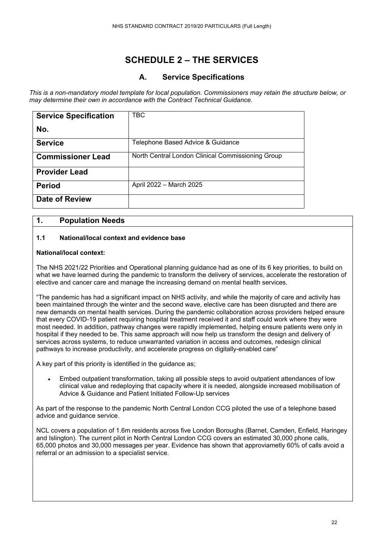# **SCHEDULE 2 – THE SERVICES**

# **A. Service Specifications**

*This is a non-mandatory model template for local population. Commissioners may retain the structure below, or may determine their own in accordance with the Contract Technical Guidance.* 

| <b>Service Specification</b> | <b>TBC</b>                                        |
|------------------------------|---------------------------------------------------|
| No.                          |                                                   |
| <b>Service</b>               | Telephone Based Advice & Guidance                 |
| <b>Commissioner Lead</b>     | North Central London Clinical Commissioning Group |
| <b>Provider Lead</b>         |                                                   |
| <b>Period</b>                | April 2022 - March 2025                           |
| <b>Date of Review</b>        |                                                   |

# **1. Population Needs**

## **1.1 National/local context and evidence base**

## **National/local context:**

The NHS 2021/22 Priorities and Operational planning guidance had as one of its 6 key priorities, to build on what we have learned during the pandemic to transform the delivery of services, accelerate the restoration of elective and cancer care and manage the increasing demand on mental health services.

"The pandemic has had a significant impact on NHS activity, and while the majority of care and activity has been maintained through the winter and the second wave, elective care has been disrupted and there are new demands on mental health services. During the pandemic collaboration across providers helped ensure that every COVID-19 patient requiring hospital treatment received it and staff could work where they were most needed. In addition, pathway changes were rapidly implemented, helping ensure patients were only in hospital if they needed to be. This same approach will now help us transform the design and delivery of services across systems, to reduce unwarranted variation in access and outcomes, redesign clinical pathways to increase productivity, and accelerate progress on digitally-enabled care"

A key part of this priority is identified in the guidance as;

• Embed outpatient transformation, taking all possible steps to avoid outpatient attendances of low clinical value and redeploying that capacity where it is needed, alongside increased mobilisation of Advice & Guidance and Patient Initiated Follow-Up services

As part of the response to the pandemic North Central London CCG piloted the use of a telephone based advice and guidance service.

NCL covers a population of 1.6m residents across five London Boroughs (Barnet, Camden, Enfield, Haringey and Islington). The current pilot in North Central London CCG covers an estimated 30,000 phone calls, 65,000 photos and 30,000 messages per year. Evidence has shown that approviametly 60% of calls avoid a referral or an admission to a specialist service.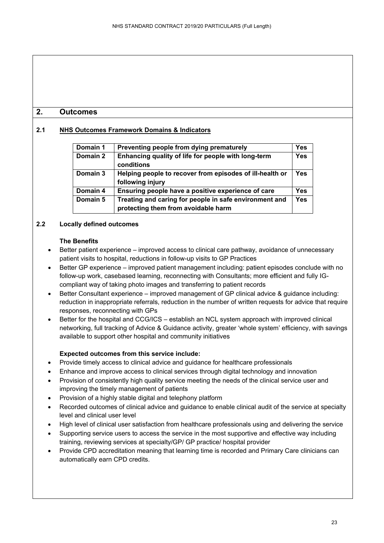# **2. Outcomes**

## **2.1 NHS Outcomes Framework Domains & Indicators**

| Domain 1 | Preventing people from dying prematurely                 | Yes        |
|----------|----------------------------------------------------------|------------|
| Domain 2 | Enhancing quality of life for people with long-term      | <b>Yes</b> |
|          | conditions                                               |            |
| Domain 3 | Helping people to recover from episodes of ill-health or | Yes        |
|          | following injury                                         |            |
| Domain 4 | Ensuring people have a positive experience of care       | Yes        |
| Domain 5 | Treating and caring for people in safe environment and   | <b>Yes</b> |
|          | protecting them from avoidable harm                      |            |

## **2.2 Locally defined outcomes**

#### **The Benefits**

- Better patient experience improved access to clinical care pathway, avoidance of unnecessary patient visits to hospital, reductions in follow-up visits to GP Practices
- Better GP experience improved patient management including: patient episodes conclude with no follow-up work, casebased learning, reconnecting with Consultants; more efficient and fully IGcompliant way of taking photo images and transferring to patient records
- Better Consultant experience improved management of GP clinical advice & quidance including: reduction in inappropriate referrals, reduction in the number of written requests for advice that require responses, reconnecting with GPs
- Better for the hospital and CCG/ICS establish an NCL system approach with improved clinical networking, full tracking of Advice & Guidance activity, greater 'whole system' efficiency, with savings available to support other hospital and community initiatives

## **Expected outcomes from this service include:**

- Provide timely access to clinical advice and guidance for healthcare professionals
- Enhance and improve access to clinical services through digital technology and innovation
- Provision of consistently high quality service meeting the needs of the clinical service user and improving the timely management of patients
- Provision of a highly stable digital and telephony platform
- Recorded outcomes of clinical advice and quidance to enable clinical audit of the service at specialty level and clinical user level
- High level of clinical user satisfaction from healthcare professionals using and delivering the service
- Supporting service users to access the service in the most supportive and effective way including training, reviewing services at specialty/GP/ GP practice/ hospital provider
- Provide CPD accreditation meaning that learning time is recorded and Primary Care clinicians can automatically earn CPD credits.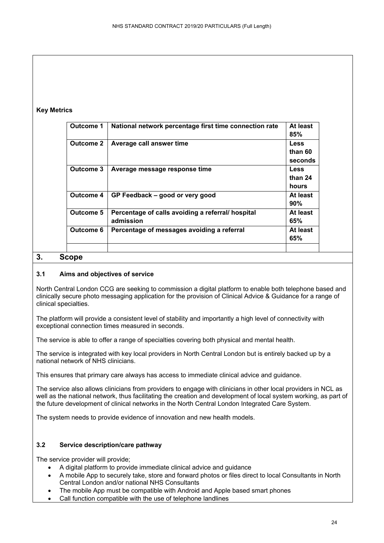## **Key Metrics**

| Outcome 1        | National network percentage first time connection rate         | At least<br>85%                   |
|------------------|----------------------------------------------------------------|-----------------------------------|
| <b>Outcome 2</b> | Average call answer time                                       | <b>Less</b><br>than 60<br>seconds |
| Outcome 3        | Average message response time                                  | <b>Less</b><br>than 24<br>hours   |
| Outcome 4        | GP Feedback – good or very good                                | At least<br>90%                   |
| Outcome 5        | Percentage of calls avoiding a referral/ hospital<br>admission | At least<br>65%                   |
| Outcome 6        | Percentage of messages avoiding a referral                     | At least<br>65%                   |

# **3. Scope**

## **3.1 Aims and objectives of service**

North Central London CCG are seeking to commission a digital platform to enable both telephone based and clinically secure photo messaging application for the provision of Clinical Advice & Guidance for a range of clinical specialties.

The platform will provide a consistent level of stability and importantly a high level of connectivity with exceptional connection times measured in seconds.

The service is able to offer a range of specialties covering both physical and mental health.

The service is integrated with key local providers in North Central London but is entirely backed up by a national network of NHS clinicians.

This ensures that primary care always has access to immediate clinical advice and guidance.

The service also allows clinicians from providers to engage with clinicians in other local providers in NCL as well as the national network, thus facilitating the creation and development of local system working, as part of the future development of clinical networks in the North Central London Integrated Care System.

The system needs to provide evidence of innovation and new health models.

## **3.2 Service description/care pathway**

The service provider will provide;

- A digital platform to provide immediate clinical advice and guidance
- A mobile App to securely take, store and forward photos or files direct to local Consultants in North Central London and/or national NHS Consultants
- The mobile App must be compatible with Android and Apple based smart phones
- Call function compatible with the use of telephone landlines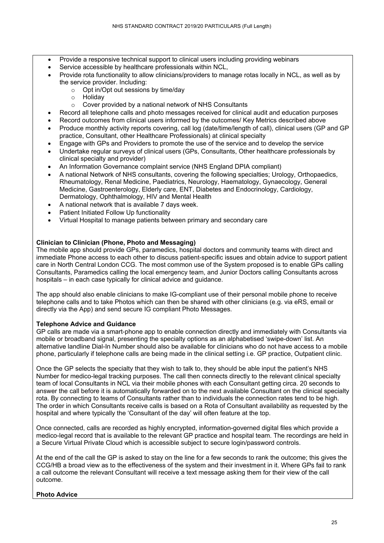- Provide a responsive technical support to clinical users including providing webinars
- Service accessible by healthcare professionals within NCL,
- Provide rota functionality to allow clinicians/providers to manage rotas locally in NCL, as well as by the service provider. Including:
	- o Opt in/Opt out sessions by time/day
	- o Holiday<br>∩ Cover n
	- Cover provided by a national network of NHS Consultants
- Record all telephone calls and photo messages received for clinical audit and education purposes
- Record outcomes from clinical users informed by the outcomes/ Key Metrics described above
- Produce monthly activity reports covering, call log (date/time/length of call), clinical users (GP and GP practice, Consultant, other Healthcare Professionals) at clinical specialty
- Engage with GPs and Providers to promote the use of the service and to develop the service
- Undertake regular surveys of clinical users (GPs, Consultants, Other healthcare professionals by clinical specialty and provider)
- An Information Governance complaint service (NHS England DPIA compliant)
- A national Network of NHS consultants, covering the following specialties; Urology, Orthopaedics, Rheumatology, Renal Medicine, Paediatrics, Neurology, Haematology, Gynaecology, General Medicine, Gastroenterology, Elderly care, ENT, Diabetes and Endocrinology, Cardiology, Dermatology, Ophthalmology, HIV and Mental Health
- A national network that is available 7 days week.
- Patient Initiated Follow Up functionality
- Virtual Hospital to manage patients between primary and secondary care

#### **Clinician to Clinician (Phone, Photo and Messaging)**

The mobile app should provide GPs, paramedics, hospital doctors and community teams with direct and immediate Phone access to each other to discuss patient-specific issues and obtain advice to support patient care in North Central London CCG. The most common use of the System proposed is to enable GPs calling Consultants, Paramedics calling the local emergency team, and Junior Doctors calling Consultants across hospitals – in each case typically for clinical advice and guidance.

The app should also enable clinicians to make IG-compliant use of their personal mobile phone to receive telephone calls and to take Photos which can then be shared with other clinicians (e.g. via eRS, email or directly via the App) and send secure IG compliant Photo Messages.

#### **Telephone Advice and Guidance**

GP calls are made via a smart-phone app to enable connection directly and immediately with Consultants via mobile or broadband signal, presenting the specialty options as an alphabetised 'swipe-down' list. An alternative landline Dial-In Number should also be available for clinicians who do not have access to a mobile phone, particularly if telephone calls are being made in the clinical setting i.e. GP practice, Outpatient clinic.

Once the GP selects the specialty that they wish to talk to, they should be able input the patient's NHS Number for medico-legal tracking purposes. The call then connects directly to the relevant clinical specialty team of local Consultants in NCL via their mobile phones with each Consultant getting circa. 20 seconds to answer the call before it is automatically forwarded on to the next available Consultant on the clinical specialty rota. By connecting to teams of Consultants rather than to individuals the connection rates tend to be high. The order in which Consultants receive calls is based on a Rota of Consultant availability as requested by the hospital and where typically the 'Consultant of the day' will often feature at the top.

Once connected, calls are recorded as highly encrypted, information-governed digital files which provide a medico-legal record that is available to the relevant GP practice and hospital team. The recordings are held in a Secure Virtual Private Cloud which is accessible subject to secure login/password controls.

At the end of the call the GP is asked to stay on the line for a few seconds to rank the outcome; this gives the CCG/HB a broad view as to the effectiveness of the system and their investment in it. Where GPs fail to rank a call outcome the relevant Consultant will receive a text message asking them for their view of the call outcome.

#### **Photo Advice**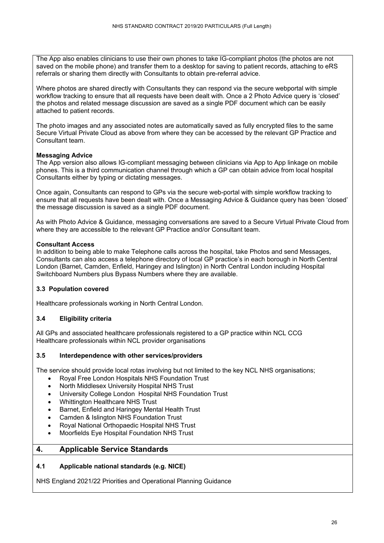The App also enables clinicians to use their own phones to take IG-compliant photos (the photos are not saved on the mobile phone) and transfer them to a desktop for saving to patient records, attaching to eRS referrals or sharing them directly with Consultants to obtain pre-referral advice.

Where photos are shared directly with Consultants they can respond via the secure webportal with simple workflow tracking to ensure that all requests have been dealt with. Once a 2 Photo Advice query is 'closed' the photos and related message discussion are saved as a single PDF document which can be easily attached to patient records.

The photo images and any associated notes are automatically saved as fully encrypted files to the same Secure Virtual Private Cloud as above from where they can be accessed by the relevant GP Practice and Consultant team.

#### **Messaging Advice**

The App version also allows IG-compliant messaging between clinicians via App to App linkage on mobile phones. This is a third communication channel through which a GP can obtain advice from local hospital Consultants either by typing or dictating messages.

Once again, Consultants can respond to GPs via the secure web-portal with simple workflow tracking to ensure that all requests have been dealt with. Once a Messaging Advice & Guidance query has been 'closed' the message discussion is saved as a single PDF document.

As with Photo Advice & Guidance, messaging conversations are saved to a Secure Virtual Private Cloud from where they are accessible to the relevant GP Practice and/or Consultant team.

#### **Consultant Access**

In addition to being able to make Telephone calls across the hospital, take Photos and send Messages, Consultants can also access a telephone directory of local GP practice's in each borough in North Central London (Barnet, Camden, Enfield, Haringey and Islington) in North Central London including Hospital Switchboard Numbers plus Bypass Numbers where they are available.

## **3.3 Population covered**

Healthcare professionals working in North Central London.

## **3.4 Eligibility criteria**

All GPs and associated healthcare professionals registered to a GP practice within NCL CCG Healthcare professionals within NCL provider organisations

#### **3.5 Interdependence with other services/providers**

The service should provide local rotas involving but not limited to the key NCL NHS organisations;

- Royal Free London Hospitals NHS Foundation Trust
- North Middlesex University Hospital NHS Trust
- University College London Hospital NHS Foundation Trust
- Whittington Healthcare NHS Trust
- Barnet, Enfield and Haringey Mental Health Trust
- Camden & Islington NHS Foundation Trust
- Royal National Orthopaedic Hospital NHS Trust
- Moorfields Eye Hospital Foundation NHS Trust

## **4. Applicable Service Standards**

#### **4.1 Applicable national standards (e.g. NICE)**

NHS England 2021/22 Priorities and Operational Planning Guidance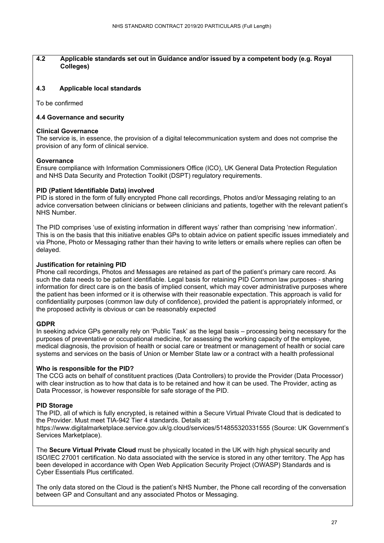#### **4.2 Applicable standards set out in Guidance and/or issued by a competent body (e.g. Royal Colleges)**

#### **4.3 Applicable local standards**

To be confirmed

#### **4.4 Governance and security**

#### **Clinical Governance**

The service is, in essence, the provision of a digital telecommunication system and does not comprise the provision of any form of clinical service.

#### **Governance**

Ensure compliance with Information Commissioners Office (ICO), UK General Data Protection Regulation and NHS Data Security and Protection Toolkit (DSPT) regulatory requirements.

#### **PID (Patient Identifiable Data) involved**

PID is stored in the form of fully encrypted Phone call recordings, Photos and/or Messaging relating to an advice conversation between clinicians or between clinicians and patients, together with the relevant patient's NHS Number.

The PID comprises 'use of existing information in different ways' rather than comprising 'new information'. This is on the basis that this initiative enables GPs to obtain advice on patient specific issues immediately and via Phone, Photo or Messaging rather than their having to write letters or emails where replies can often be delayed.

#### **Justification for retaining PID**

Phone call recordings, Photos and Messages are retained as part of the patient's primary care record. As such the data needs to be patient identifiable. Legal basis for retaining PID Common law purposes - sharing information for direct care is on the basis of implied consent, which may cover administrative purposes where the patient has been informed or it is otherwise with their reasonable expectation. This approach is valid for confidentiality purposes (common law duty of confidence), provided the patient is appropriately informed, or the proposed activity is obvious or can be reasonably expected

#### **GDPR**

In seeking advice GPs generally rely on 'Public Task' as the legal basis – processing being necessary for the purposes of preventative or occupational medicine, for assessing the working capacity of the employee, medical diagnosis, the provision of health or social care or treatment or management of health or social care systems and services on the basis of Union or Member State law or a contract with a health professional

#### **Who is responsible for the PID?**

The CCG acts on behalf of constituent practices (Data Controllers) to provide the Provider (Data Processor) with clear instruction as to how that data is to be retained and how it can be used. The Provider, acting as Data Processor, is however responsible for safe storage of the PID.

#### **PID Storage**

The PID, all of which is fully encrypted, is retained within a Secure Virtual Private Cloud that is dedicated to the Provider. Must meet TIA-942 Tier 4 standards. Details at: https://www.digitalmarketplace.service.gov.uk/g.cloud/services/514855320331555 (Source: UK Government's Services Marketplace).

The **Secure Virtual Private Cloud** must be physically located in the UK with high physical security and ISO/IEC 27001 certification. No data associated with the service is stored in any other territory. The App has been developed in accordance with Open Web Application Security Project (OWASP) Standards and is Cyber Essentials Plus certificated.

The only data stored on the Cloud is the patient's NHS Number, the Phone call recording of the conversation between GP and Consultant and any associated Photos or Messaging.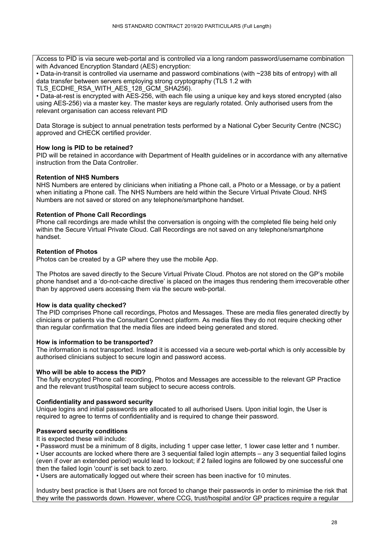Access to PID is via secure web-portal and is controlled via a long random password/username combination with Advanced Encryption Standard (AES) encryption:

• Data-in-transit is controlled via username and password combinations (with ~238 bits of entropy) with all data transfer between servers employing strong cryptography (TLS 1.2 with

TLS\_ECDHE\_RSA\_WITH\_AES\_128\_GCM\_SHA256).

• Data-at-rest is encrypted with AES-256, with each file using a unique key and keys stored encrypted (also using AES-256) via a master key. The master keys are regularly rotated. Only authorised users from the relevant organisation can access relevant PID

Data Storage is subject to annual penetration tests performed by a National Cyber Security Centre (NCSC) approved and CHECK certified provider.

#### **How long is PID to be retained?**

PID will be retained in accordance with Department of Health guidelines or in accordance with any alternative instruction from the Data Controller.

#### **Retention of NHS Numbers**

NHS Numbers are entered by clinicians when initiating a Phone call, a Photo or a Message, or by a patient when initiating a Phone call. The NHS Numbers are held within the Secure Virtual Private Cloud. NHS Numbers are not saved or stored on any telephone/smartphone handset.

#### **Retention of Phone Call Recordings**

Phone call recordings are made whilst the conversation is ongoing with the completed file being held only within the Secure Virtual Private Cloud. Call Recordings are not saved on any telephone/smartphone handset.

#### **Retention of Photos**

Photos can be created by a GP where they use the mobile App.

The Photos are saved directly to the Secure Virtual Private Cloud. Photos are not stored on the GP's mobile phone handset and a 'do-not-cache directive' is placed on the images thus rendering them irrecoverable other than by approved users accessing them via the secure web-portal.

#### **How is data quality checked?**

The PID comprises Phone call recordings, Photos and Messages. These are media files generated directly by clinicians or patients via the Consultant Connect platform. As media files they do not require checking other than regular confirmation that the media files are indeed being generated and stored.

#### **How is information to be transported?**

The information is not transported. Instead it is accessed via a secure web-portal which is only accessible by authorised clinicians subject to secure login and password access.

#### **Who will be able to access the PID?**

The fully encrypted Phone call recording, Photos and Messages are accessible to the relevant GP Practice and the relevant trust/hospital team subject to secure access controls.

#### **Confidentiality and password security**

Unique logins and initial passwords are allocated to all authorised Users. Upon initial login, the User is required to agree to terms of confidentiality and is required to change their password.

## **Password security conditions**

It is expected these will include:

• Password must be a minimum of 8 digits, including 1 upper case letter, 1 lower case letter and 1 number.

• User accounts are locked where there are 3 sequential failed login attempts – any 3 sequential failed logins (even if over an extended period) would lead to lockout; if 2 failed logins are followed by one successful one then the failed login 'count' is set back to zero.

• Users are automatically logged out where their screen has been inactive for 10 minutes.

Industry best practice is that Users are not forced to change their passwords in order to minimise the risk that they write the passwords down. However, where CCG, trust/hospital and/or GP practices require a regular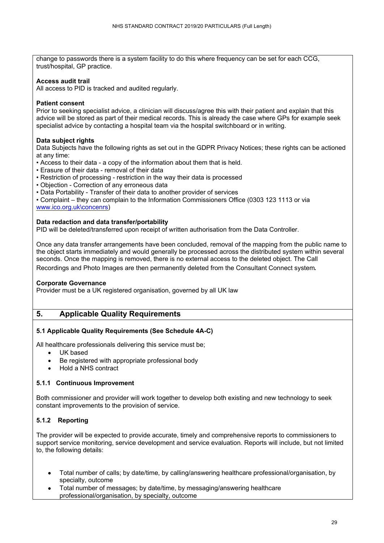change to passwords there is a system facility to do this where frequency can be set for each CCG, trust/hospital, GP practice.

#### **Access audit trail**

All access to PID is tracked and audited regularly.

#### **Patient consent**

Prior to seeking specialist advice, a clinician will discuss/agree this with their patient and explain that this advice will be stored as part of their medical records. This is already the case where GPs for example seek specialist advice by contacting a hospital team via the hospital switchboard or in writing.

#### **Data subject rights**

Data Subjects have the following rights as set out in the GDPR Privacy Notices; these rights can be actioned at any time:

- Access to their data a copy of the information about them that is held.
- Erasure of their data removal of their data
- Restriction of processing restriction in the way their data is processed
- Objection Correction of any erroneous data
- Data Portability Transfer of their data to another provider of services

• Complaint – they can complain to the Information Commissioners Office (0303 123 1113 or via [www.ico.org.uk\concenrs\)](http://www.ico.org.uk/concenrs)

#### **Data redaction and data transfer/portability**

PID will be deleted/transferred upon receipt of written authorisation from the Data Controller.

Once any data transfer arrangements have been concluded, removal of the mapping from the public name to the object starts immediately and would generally be processed across the distributed system within several seconds. Once the mapping is removed, there is no external access to the deleted object. The Call Recordings and Photo Images are then permanently deleted from the Consultant Connect system.

#### **Corporate Governance**

Provider must be a UK registered organisation, governed by all UK law

## **5. Applicable Quality Requirements**

#### **5.1 Applicable Quality Requirements (See Schedule 4A-C)**

All healthcare professionals delivering this service must be;

- UK based
- Be registered with appropriate professional body
- Hold a NHS contract

#### **5.1.1 Continuous Improvement**

Both commissioner and provider will work together to develop both existing and new technology to seek constant improvements to the provision of service.

## **5.1.2 Reporting**

The provider will be expected to provide accurate, timely and comprehensive reports to commissioners to support service monitoring, service development and service evaluation. Reports will include, but not limited to, the following details:

- Total number of calls; by date/time, by calling/answering healthcare professional/organisation, by specialty, outcome
- Total number of messages; by date/time, by messaging/answering healthcare professional/organisation, by specialty, outcome